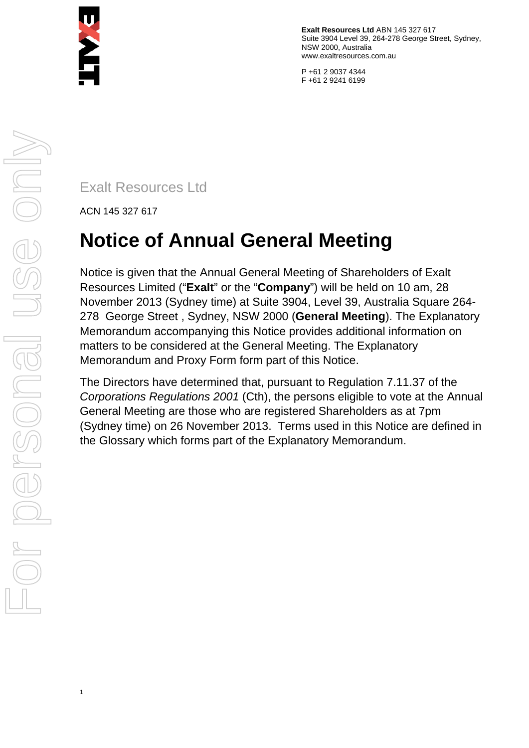

**Exalt Resources Ltd** ABN 145 327 617 Suite 3904 Level 39, 264-278 George Street, Sydney, NSW 2000, Australia www.exaltresources.com.au

P +61 2 9037 4344 F +61 2 9241 6199

Exalt Resources Ltd

ACN 145 327 617

# **Notice of Annual General Meeting**

Notice is given that the Annual General Meeting of Shareholders of Exalt Resources Limited ("**Exalt**" or the "**Company**") will be held on 10 am, 28 November 2013 (Sydney time) at Suite 3904, Level 39, Australia Square 264- 278 George Street , Sydney, NSW 2000 (**General Meeting**). The Explanatory Memorandum accompanying this Notice provides additional information on matters to be considered at the General Meeting. The Explanatory Memorandum and Proxy Form form part of this Notice.

The Directors have determined that, pursuant to Regulation 7.11.37 of the *Corporations Regulations 2001* (Cth), the persons eligible to vote at the Annual General Meeting are those who are registered Shareholders as at 7pm (Sydney time) on 26 November 2013. Terms used in this Notice are defined in the Glossary which forms part of the Explanatory Memorandum.

1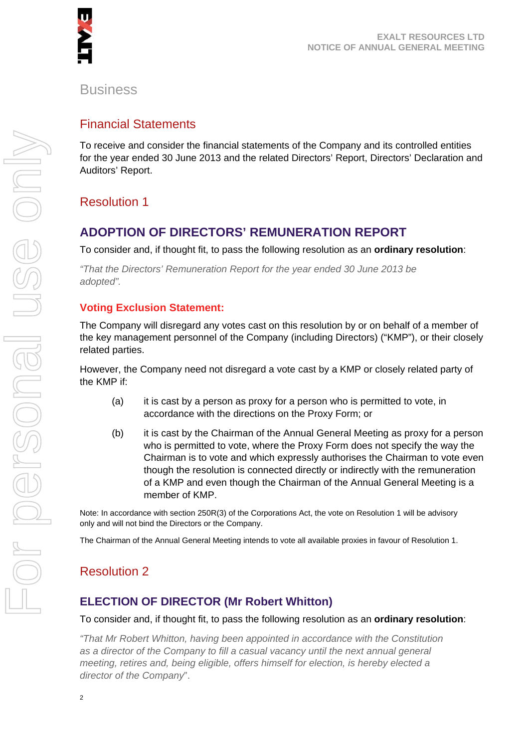

#### **Business**

#### Financial Statements

To receive and consider the financial statements of the Company and its controlled entities for the year ended 30 June 2013 and the related Directors' Report, Directors' Declaration and Auditors' Report.

# Resolution 1

# **ADOPTION OF DIRECTORS' REMUNERATION REPORT**

To consider and, if thought fit, to pass the following resolution as an **ordinary resolution**:

*"That the Directors' Remuneration Report for the year ended 30 June 2013 be adopted".* 

#### **Voting Exclusion Statement:**

The Company will disregard any votes cast on this resolution by or on behalf of a member of the key management personnel of the Company (including Directors) ("KMP"), or their closely related parties.

However, the Company need not disregard a vote cast by a KMP or closely related party of the KMP if:

- (a) it is cast by a person as proxy for a person who is permitted to vote, in accordance with the directions on the Proxy Form; or
- (b) it is cast by the Chairman of the Annual General Meeting as proxy for a person who is permitted to vote, where the Proxy Form does not specify the way the Chairman is to vote and which expressly authorises the Chairman to vote even though the resolution is connected directly or indirectly with the remuneration of a KMP and even though the Chairman of the Annual General Meeting is a member of KMP.

Note: In accordance with section 250R(3) of the Corporations Act, the vote on Resolution 1 will be advisory only and will not bind the Directors or the Company.

The Chairman of the Annual General Meeting intends to vote all available proxies in favour of Resolution 1.

# Resolution 2

#### **ELECTION OF DIRECTOR (Mr Robert Whitton)**

To consider and, if thought fit, to pass the following resolution as an **ordinary resolution**:

*"That Mr Robert Whitton, having been appointed in accordance with the Constitution as a director of the Company to fill a casual vacancy until the next annual general meeting, retires and, being eligible, offers himself for election, is hereby elected a director of the Company*".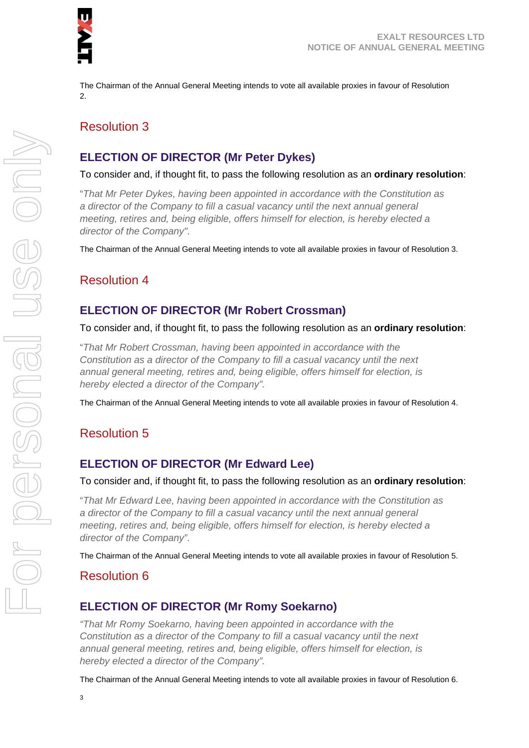

The Chairman of the Annual General Meeting intends to vote all available proxies in favour of Resolution  $\mathfrak{D}$ 

# Resolution 3

# **ELECTION OF DIRECTOR (Mr Peter Dykes)**

#### To consider and, if thought fit, to pass the following resolution as an **ordinary resolution**:

"*That Mr Peter Dykes, having been appointed in accordance with the Constitution as a director of the Company to fill a casual vacancy until the next annual general meeting, retires and, being eligible, offers himself for election, is hereby elected a director of the Company".* 

The Chairman of the Annual General Meeting intends to vote all available proxies in favour of Resolution 3.

# Resolution 4

#### **ELECTION OF DIRECTOR (Mr Robert Crossman)**

#### To consider and, if thought fit, to pass the following resolution as an **ordinary resolution**:

"*That Mr Robert Crossman, having been appointed in accordance with the Constitution as a director of the Company to fill a casual vacancy until the next annual general meeting, retires and, being eligible, offers himself for election, is hereby elected a director of the Company".* 

The Chairman of the Annual General Meeting intends to vote all available proxies in favour of Resolution 4.

# Resolution 5

#### **ELECTION OF DIRECTOR (Mr Edward Lee)**

#### To consider and, if thought fit, to pass the following resolution as an **ordinary resolution**:

"*That Mr Edward Lee, having been appointed in accordance with the Constitution as a director of the Company to fill a casual vacancy until the next annual general meeting, retires and, being eligible, offers himself for election, is hereby elected a director of the Company".* 

The Chairman of the Annual General Meeting intends to vote all available proxies in favour of Resolution 5.

#### Resolution 6

#### **ELECTION OF DIRECTOR (Mr Romy Soekarno)**

*"That Mr Romy Soekarno, having been appointed in accordance with the Constitution as a director of the Company to fill a casual vacancy until the next annual general meeting, retires and, being eligible, offers himself for election, is hereby elected a director of the Company".* 

The Chairman of the Annual General Meeting intends to vote all available proxies in favour of Resolution 6.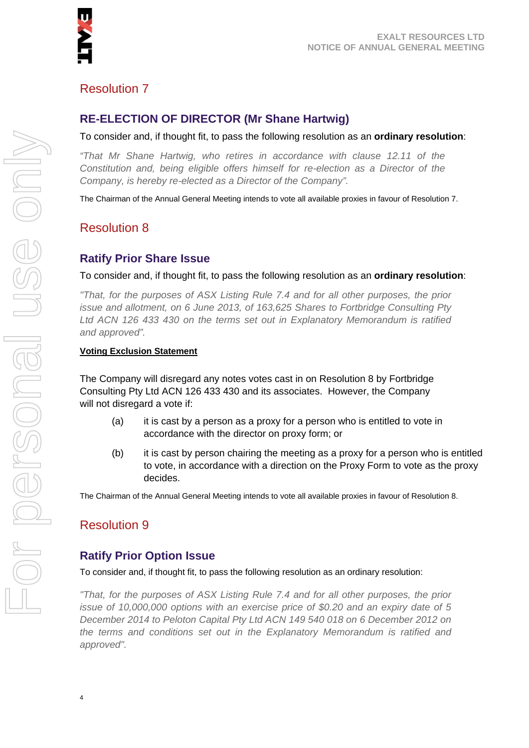

# Resolution 7

#### **RE-ELECTION OF DIRECTOR (Mr Shane Hartwig)**

To consider and, if thought fit, to pass the following resolution as an **ordinary resolution**:

*"That Mr Shane Hartwig, who retires in accordance with clause 12.11 of the Constitution and, being eligible offers himself for re-election as a Director of the Company, is hereby re-elected as a Director of the Company".* 

The Chairman of the Annual General Meeting intends to vote all available proxies in favour of Resolution 7.

# Resolution 8

#### **Ratify Prior Share Issue**

To consider and, if thought fit, to pass the following resolution as an **ordinary resolution**:

*"That, for the purposes of ASX Listing Rule 7.4 and for all other purposes, the prior issue and allotment, on 6 June 2013, of 163,625 Shares to Fortbridge Consulting Pty Ltd ACN 126 433 430 on the terms set out in Explanatory Memorandum is ratified and approved".* 

#### **Voting Exclusion Statement**

The Company will disregard any notes votes cast in on Resolution 8 by Fortbridge Consulting Pty Ltd ACN 126 433 430 and its associates. However, the Company will not disregard a vote if:

- (a) it is cast by a person as a proxy for a person who is entitled to vote in accordance with the director on proxy form; or
- (b) it is cast by person chairing the meeting as a proxy for a person who is entitled to vote, in accordance with a direction on the Proxy Form to vote as the proxy decides.

The Chairman of the Annual General Meeting intends to vote all available proxies in favour of Resolution 8.

# Resolution 9

#### **Ratify Prior Option Issue**

To consider and, if thought fit, to pass the following resolution as an ordinary resolution:

*"That, for the purposes of ASX Listing Rule 7.4 and for all other purposes, the prior issue of 10,000,000 options with an exercise price of \$0.20 and an expiry date of 5 December 2014 to Peloton Capital Pty Ltd ACN 149 540 018 on 6 December 2012 on the terms and conditions set out in the Explanatory Memorandum is ratified and approved".*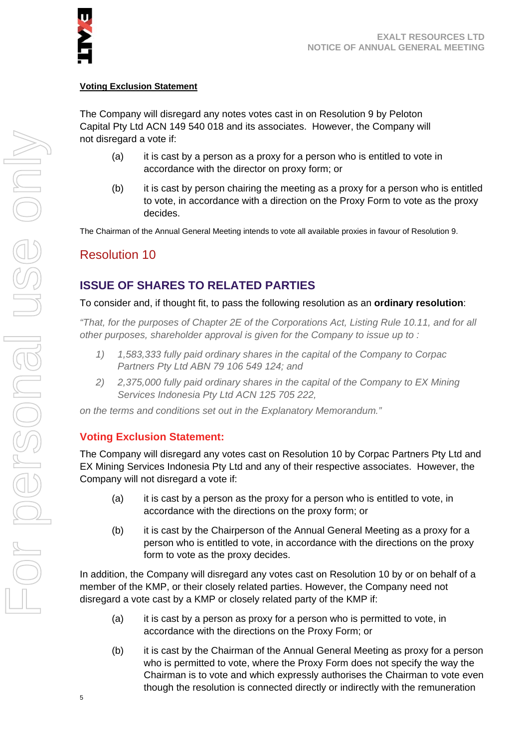

#### **Voting Exclusion Statement**

The Company will disregard any notes votes cast in on Resolution 9 by Peloton Capital Pty Ltd ACN 149 540 018 and its associates. However, the Company will not disregard a vote if:

- (a) it is cast by a person as a proxy for a person who is entitled to vote in accordance with the director on proxy form; or
- (b) it is cast by person chairing the meeting as a proxy for a person who is entitled to vote, in accordance with a direction on the Proxy Form to vote as the proxy decides.

The Chairman of the Annual General Meeting intends to vote all available proxies in favour of Resolution 9.

# Resolution 10

#### **ISSUE OF SHARES TO RELATED PARTIES**

#### To consider and, if thought fit, to pass the following resolution as an **ordinary resolution**:

*"That, for the purposes of Chapter 2E of the Corporations Act, Listing Rule 10.11, and for all other purposes, shareholder approval is given for the Company to issue up to :* 

- *1) 1,583,333 fully paid ordinary shares in the capital of the Company to Corpac Partners Pty Ltd ABN 79 106 549 124; and*
- *2) 2,375,000 fully paid ordinary shares in the capital of the Company to EX Mining Services Indonesia Pty Ltd ACN 125 705 222,*

*on the terms and conditions set out in the Explanatory Memorandum."* 

#### **Voting Exclusion Statement:**

The Company will disregard any votes cast on Resolution 10 by Corpac Partners Pty Ltd and EX Mining Services Indonesia Pty Ltd and any of their respective associates. However, the Company will not disregard a vote if:

- (a) it is cast by a person as the proxy for a person who is entitled to vote, in accordance with the directions on the proxy form; or
- (b) it is cast by the Chairperson of the Annual General Meeting as a proxy for a person who is entitled to vote, in accordance with the directions on the proxy form to vote as the proxy decides.

In addition, the Company will disregard any votes cast on Resolution 10 by or on behalf of a member of the KMP, or their closely related parties. However, the Company need not disregard a vote cast by a KMP or closely related party of the KMP if:

- (a) it is cast by a person as proxy for a person who is permitted to vote, in accordance with the directions on the Proxy Form; or
- (b) it is cast by the Chairman of the Annual General Meeting as proxy for a person who is permitted to vote, where the Proxy Form does not specify the way the Chairman is to vote and which expressly authorises the Chairman to vote even though the resolution is connected directly or indirectly with the remuneration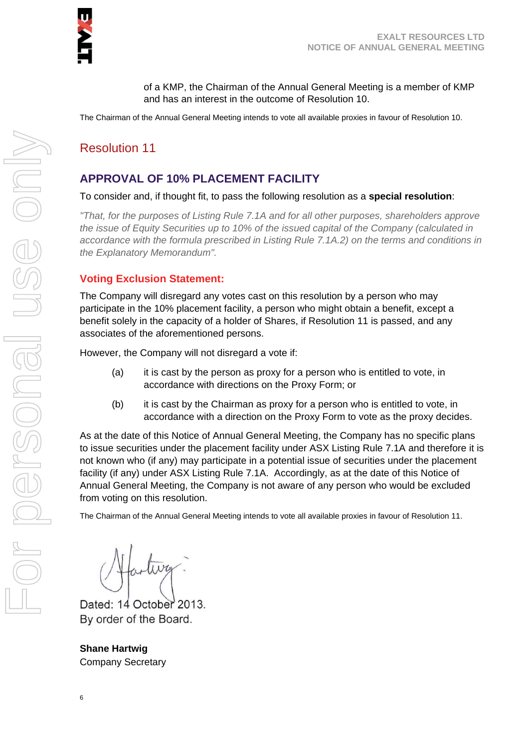of a KMP, the Chairman of the Annual General Meeting is a member of KMP and has an interest in the outcome of Resolution 10.

The Chairman of the Annual General Meeting intends to vote all available proxies in favour of Resolution 10.

# Resolution 11

### **APPROVAL OF 10% PLACEMENT FACILITY**

To consider and, if thought fit, to pass the following resolution as a **special resolution**:

*"That, for the purposes of Listing Rule 7.1A and for all other purposes, shareholders approve the issue of Equity Securities up to 10% of the issued capital of the Company (calculated in accordance with the formula prescribed in Listing Rule 7.1A.2) on the terms and conditions in the Explanatory Memorandum".* 

#### **Voting Exclusion Statement:**

The Company will disregard any votes cast on this resolution by a person who may participate in the 10% placement facility, a person who might obtain a benefit, except a benefit solely in the capacity of a holder of Shares, if Resolution 11 is passed, and any associates of the aforementioned persons.

However, the Company will not disregard a vote if:

- (a) it is cast by the person as proxy for a person who is entitled to vote, in accordance with directions on the Proxy Form; or
- (b) it is cast by the Chairman as proxy for a person who is entitled to vote, in accordance with a direction on the Proxy Form to vote as the proxy decides.

As at the date of this Notice of Annual General Meeting, the Company has no specific plans to issue securities under the placement facility under ASX Listing Rule 7.1A and therefore it is not known who (if any) may participate in a potential issue of securities under the placement facility (if any) under ASX Listing Rule 7.1A. Accordingly, as at the date of this Notice of Annual General Meeting, the Company is not aware of any person who would be excluded from voting on this resolution.

The Chairman of the Annual General Meeting intends to vote all available proxies in favour of Resolution 11.

artiva.

Dated: 14 October 2013. By order of the Board.

**Shane Hartwig**  Company Secretary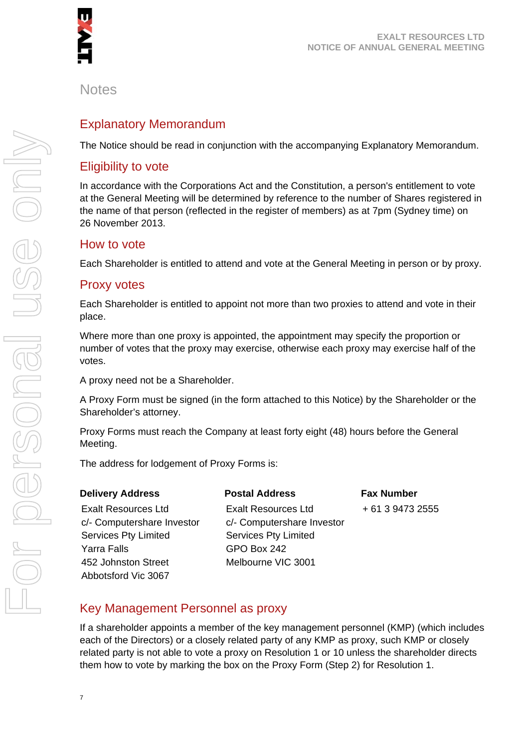

#### **Notes**

# Explanatory Memorandum

The Notice should be read in conjunction with the accompanying Explanatory Memorandum.

#### Eligibility to vote

In accordance with the Corporations Act and the Constitution, a person's entitlement to vote at the General Meeting will be determined by reference to the number of Shares registered in the name of that person (reflected in the register of members) as at 7pm (Sydney time) on 26 November 2013.

#### How to vote

Each Shareholder is entitled to attend and vote at the General Meeting in person or by proxy.

#### Proxy votes

Each Shareholder is entitled to appoint not more than two proxies to attend and vote in their place.

Where more than one proxy is appointed, the appointment may specify the proportion or number of votes that the proxy may exercise, otherwise each proxy may exercise half of the votes.

A proxy need not be a Shareholder.

A Proxy Form must be signed (in the form attached to this Notice) by the Shareholder or the Shareholder's attorney.

Proxy Forms must reach the Company at least forty eight (48) hours before the General Meeting.

**Postal Address** 

The address for lodgement of Proxy Forms is:

#### **Delivery Address**

Exalt Resources Ltd c/- Computershare Investor Services Pty Limited Yarra Falls 452 Johnston Street Abbotsford Vic 3067

Exalt Resources Ltd c/- Computershare Investor Services Pty Limited GPO Box 242 Melbourne VIC 3001

**Fax Number**  + 61 3 9473 2555

#### Key Management Personnel as proxy

If a shareholder appoints a member of the key management personnel (KMP) (which includes each of the Directors) or a closely related party of any KMP as proxy, such KMP or closely related party is not able to vote a proxy on Resolution 1 or 10 unless the shareholder directs them how to vote by marking the box on the Proxy Form (Step 2) for Resolution 1.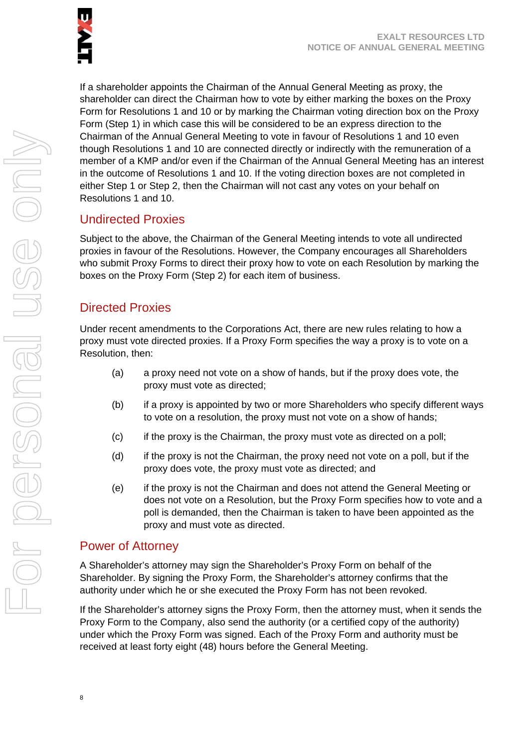

If a shareholder appoints the Chairman of the Annual General Meeting as proxy, the shareholder can direct the Chairman how to vote by either marking the boxes on the Proxy Form for Resolutions 1 and 10 or by marking the Chairman voting direction box on the Proxy Form (Step 1) in which case this will be considered to be an express direction to the Chairman of the Annual General Meeting to vote in favour of Resolutions 1 and 10 even though Resolutions 1 and 10 are connected directly or indirectly with the remuneration of a member of a KMP and/or even if the Chairman of the Annual General Meeting has an interest in the outcome of Resolutions 1 and 10. If the voting direction boxes are not completed in either Step 1 or Step 2, then the Chairman will not cast any votes on your behalf on Resolutions 1 and 10.

# Undirected Proxies

Subject to the above, the Chairman of the General Meeting intends to vote all undirected proxies in favour of the Resolutions. However, the Company encourages all Shareholders who submit Proxy Forms to direct their proxy how to vote on each Resolution by marking the boxes on the Proxy Form (Step 2) for each item of business.

# Directed Proxies

Under recent amendments to the Corporations Act, there are new rules relating to how a proxy must vote directed proxies. If a Proxy Form specifies the way a proxy is to vote on a Resolution, then:

- (a) a proxy need not vote on a show of hands, but if the proxy does vote, the proxy must vote as directed;
- (b) if a proxy is appointed by two or more Shareholders who specify different ways to vote on a resolution, the proxy must not vote on a show of hands;
- (c) if the proxy is the Chairman, the proxy must vote as directed on a poll;
- (d) if the proxy is not the Chairman, the proxy need not vote on a poll, but if the proxy does vote, the proxy must vote as directed; and
- (e) if the proxy is not the Chairman and does not attend the General Meeting or does not vote on a Resolution, but the Proxy Form specifies how to vote and a poll is demanded, then the Chairman is taken to have been appointed as the proxy and must vote as directed.

# Power of Attorney

A Shareholder's attorney may sign the Shareholder's Proxy Form on behalf of the Shareholder. By signing the Proxy Form, the Shareholder's attorney confirms that the authority under which he or she executed the Proxy Form has not been revoked.

If the Shareholder's attorney signs the Proxy Form, then the attorney must, when it sends the Proxy Form to the Company, also send the authority (or a certified copy of the authority) under which the Proxy Form was signed. Each of the Proxy Form and authority must be received at least forty eight (48) hours before the General Meeting.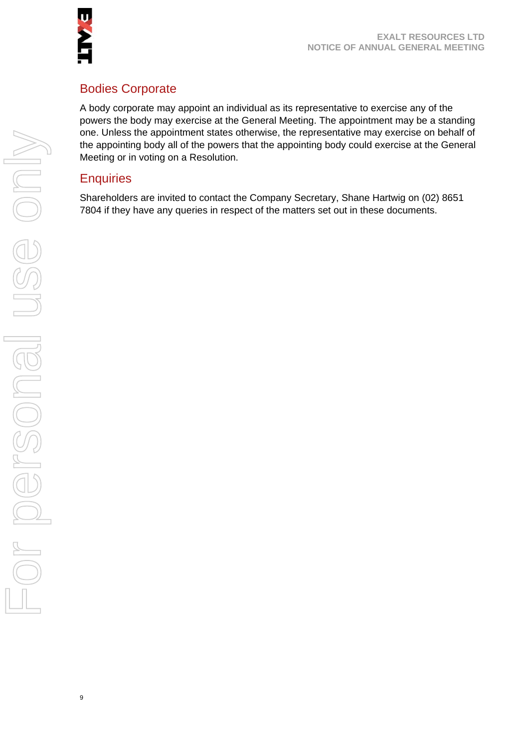

# Bodies Corporate

A body corporate may appoint an individual as its representative to exercise any of the powers the body may exercise at the General Meeting. The appointment may be a standing one. Unless the appointment states otherwise, the representative may exercise on behalf of the appointing body all of the powers that the appointing body could exercise at the General Meeting or in voting on a Resolution.

#### **Enquiries**

Shareholders are invited to contact the Company Secretary, Shane Hartwig on (02) 8651 7804 if they have any queries in respect of the matters set out in these documents.

9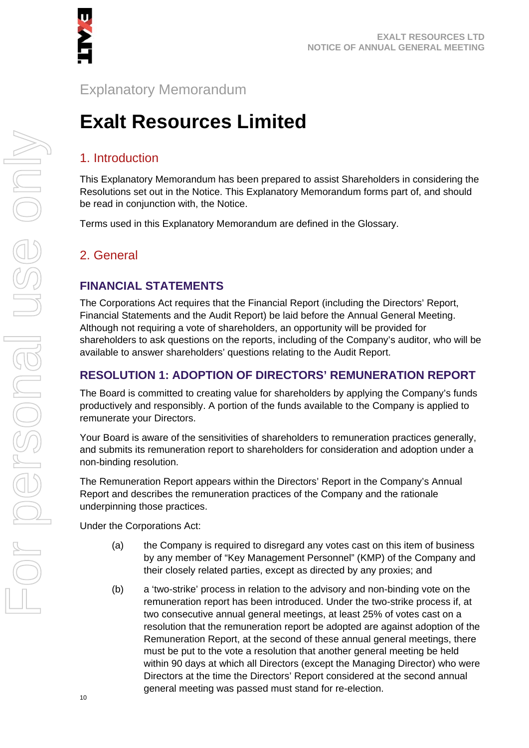

# Explanatory Memorandum

# **Exalt Resources Limited**

# 1. Introduction

This Explanatory Memorandum has been prepared to assist Shareholders in considering the Resolutions set out in the Notice. This Explanatory Memorandum forms part of, and should be read in conjunction with, the Notice.

Terms used in this Explanatory Memorandum are defined in the Glossary.

# 2. General

#### **FINANCIAL STATEMENTS**

The Corporations Act requires that the Financial Report (including the Directors' Report, Financial Statements and the Audit Report) be laid before the Annual General Meeting. Although not requiring a vote of shareholders, an opportunity will be provided for shareholders to ask questions on the reports, including of the Company's auditor, who will be available to answer shareholders' questions relating to the Audit Report.

#### **RESOLUTION 1: ADOPTION OF DIRECTORS' REMUNERATION REPORT**

The Board is committed to creating value for shareholders by applying the Company's funds productively and responsibly. A portion of the funds available to the Company is applied to remunerate your Directors.

Your Board is aware of the sensitivities of shareholders to remuneration practices generally, and submits its remuneration report to shareholders for consideration and adoption under a non-binding resolution.

The Remuneration Report appears within the Directors' Report in the Company's Annual Report and describes the remuneration practices of the Company and the rationale underpinning those practices.

Under the Corporations Act:

- (a) the Company is required to disregard any votes cast on this item of business by any member of "Key Management Personnel" (KMP) of the Company and their closely related parties, except as directed by any proxies; and
- (b) a 'two-strike' process in relation to the advisory and non-binding vote on the remuneration report has been introduced. Under the two-strike process if, at two consecutive annual general meetings, at least 25% of votes cast on a resolution that the remuneration report be adopted are against adoption of the Remuneration Report, at the second of these annual general meetings, there must be put to the vote a resolution that another general meeting be held within 90 days at which all Directors (except the Managing Director) who were Directors at the time the Directors' Report considered at the second annual general meeting was passed must stand for re-election.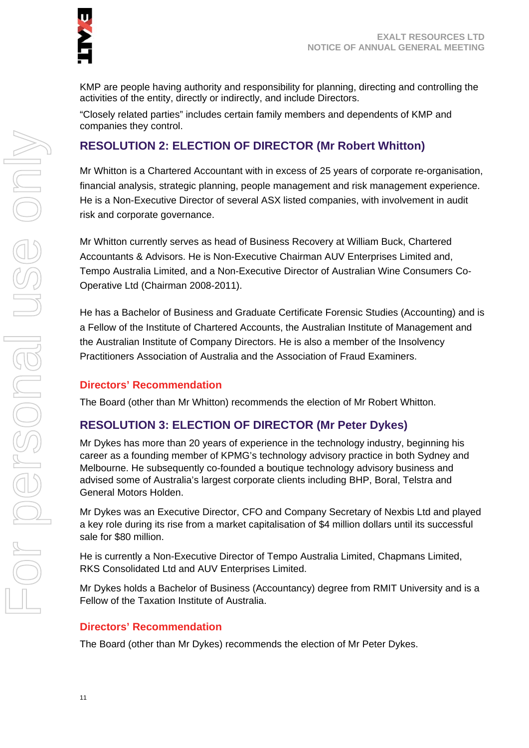KMP are people having authority and responsibility for planning, directing and controlling the activities of the entity, directly or indirectly, and include Directors.

"Closely related parties" includes certain family members and dependents of KMP and companies they control.

# **RESOLUTION 2: ELECTION OF DIRECTOR (Mr Robert Whitton)**

Mr Whitton is a Chartered Accountant with in excess of 25 years of corporate re-organisation, financial analysis, strategic planning, people management and risk management experience. He is a Non-Executive Director of several ASX listed companies, with involvement in audit risk and corporate governance.

Mr Whitton currently serves as head of Business Recovery at William Buck, Chartered Accountants & Advisors. He is Non-Executive Chairman AUV Enterprises Limited and, Tempo Australia Limited, and a Non-Executive Director of Australian Wine Consumers Co-Operative Ltd (Chairman 2008-2011).

He has a Bachelor of Business and Graduate Certificate Forensic Studies (Accounting) and is a Fellow of the Institute of Chartered Accounts, the Australian Institute of Management and the Australian Institute of Company Directors. He is also a member of the Insolvency Practitioners Association of Australia and the Association of Fraud Examiners.

#### **Directors' Recommendation**

The Board (other than Mr Whitton) recommends the election of Mr Robert Whitton.

# **RESOLUTION 3: ELECTION OF DIRECTOR (Mr Peter Dykes)**

Mr Dykes has more than 20 years of experience in the technology industry, beginning his career as a founding member of KPMG's technology advisory practice in both Sydney and Melbourne. He subsequently co-founded a boutique technology advisory business and advised some of Australia's largest corporate clients including BHP, Boral, Telstra and General Motors Holden.

Mr Dykes was an Executive Director, CFO and Company Secretary of Nexbis Ltd and played a key role during its rise from a market capitalisation of \$4 million dollars until its successful sale for \$80 million.

He is currently a Non-Executive Director of Tempo Australia Limited, Chapmans Limited, RKS Consolidated Ltd and AUV Enterprises Limited.

Mr Dykes holds a Bachelor of Business (Accountancy) degree from RMIT University and is a Fellow of the Taxation Institute of Australia.

#### **Directors' Recommendation**

The Board (other than Mr Dykes) recommends the election of Mr Peter Dykes.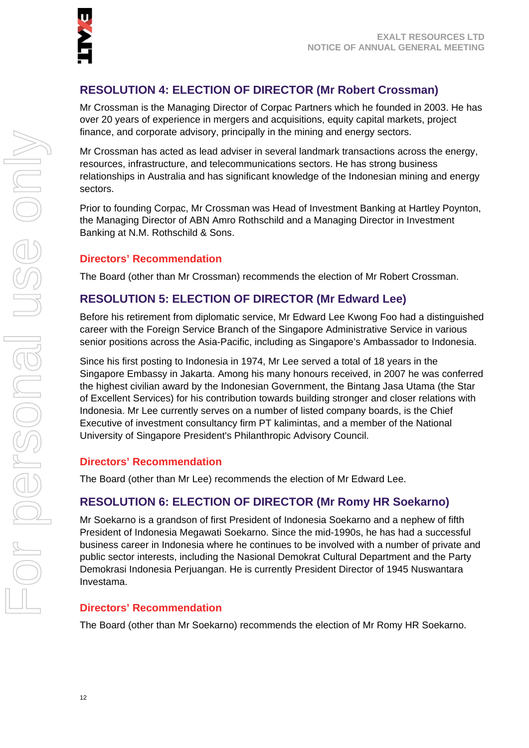

# **RESOLUTION 4: ELECTION OF DIRECTOR (Mr Robert Crossman)**

Mr Crossman is the Managing Director of Corpac Partners which he founded in 2003. He has over 20 years of experience in mergers and acquisitions, equity capital markets, project finance, and corporate advisory, principally in the mining and energy sectors.

Mr Crossman has acted as lead adviser in several landmark transactions across the energy, resources, infrastructure, and telecommunications sectors. He has strong business relationships in Australia and has significant knowledge of the Indonesian mining and energy sectors.

Prior to founding Corpac, Mr Crossman was Head of Investment Banking at Hartley Poynton, the Managing Director of ABN Amro Rothschild and a Managing Director in Investment Banking at N.M. Rothschild & Sons.

#### **Directors' Recommendation**

The Board (other than Mr Crossman) recommends the election of Mr Robert Crossman.

#### **RESOLUTION 5: ELECTION OF DIRECTOR (Mr Edward Lee)**

Before his retirement from diplomatic service, Mr Edward Lee Kwong Foo had a distinguished career with the Foreign Service Branch of the Singapore Administrative Service in various senior positions across the Asia-Pacific, including as Singapore's Ambassador to Indonesia.

Since his first posting to Indonesia in 1974, Mr Lee served a total of 18 years in the Singapore Embassy in Jakarta. Among his many honours received, in 2007 he was conferred the highest civilian award by the Indonesian Government, the Bintang Jasa Utama (the Star of Excellent Services) for his contribution towards building stronger and closer relations with Indonesia. Mr Lee currently serves on a number of listed company boards, is the Chief Executive of investment consultancy firm PT kalimintas, and a member of the National University of Singapore President's Philanthropic Advisory Council.

#### **Directors' Recommendation**

The Board (other than Mr Lee) recommends the election of Mr Edward Lee.

#### **RESOLUTION 6: ELECTION OF DIRECTOR (Mr Romy HR Soekarno)**

Mr Soekarno is a grandson of first President of Indonesia Soekarno and a nephew of fifth President of Indonesia Megawati Soekarno. Since the mid-1990s, he has had a successful business career in Indonesia where he continues to be involved with a number of private and public sector interests, including the Nasional Demokrat Cultural Department and the Party Demokrasi Indonesia Perjuangan. He is currently President Director of 1945 Nuswantara Investama.

#### **Directors' Recommendation**

The Board (other than Mr Soekarno) recommends the election of Mr Romy HR Soekarno.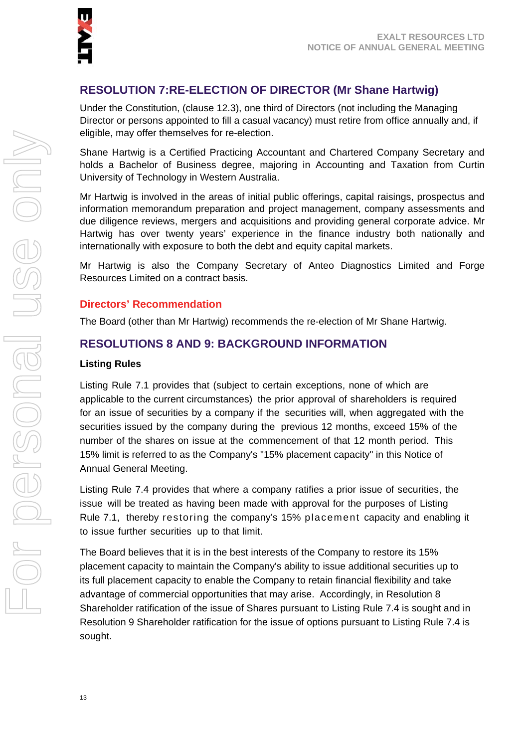

# **RESOLUTION 7:RE-ELECTION OF DIRECTOR (Mr Shane Hartwig)**

Under the Constitution, (clause 12.3), one third of Directors (not including the Managing Director or persons appointed to fill a casual vacancy) must retire from office annually and, if eligible, may offer themselves for re-election.

Shane Hartwig is a Certified Practicing Accountant and Chartered Company Secretary and holds a Bachelor of Business degree, majoring in Accounting and Taxation from Curtin University of Technology in Western Australia.

Mr Hartwig is involved in the areas of initial public offerings, capital raisings, prospectus and information memorandum preparation and project management, company assessments and due diligence reviews, mergers and acquisitions and providing general corporate advice. Mr Hartwig has over twenty years' experience in the finance industry both nationally and internationally with exposure to both the debt and equity capital markets.

Mr Hartwig is also the Company Secretary of Anteo Diagnostics Limited and Forge Resources Limited on a contract basis.

#### **Directors' Recommendation**

The Board (other than Mr Hartwig) recommends the re-election of Mr Shane Hartwig.

#### **RESOLUTIONS 8 AND 9: BACKGROUND INFORMATION**

#### **Listing Rules**

Listing Rule 7.1 provides that (subject to certain exceptions, none of which are applicable to the current circumstances) the prior approval of shareholders is required for an issue of securities by a company if the securities will, when aggregated with the securities issued by the company during the previous 12 months, exceed 15% of the number of the shares on issue at the commencement of that 12 month period. This 15% limit is referred to as the Company's "15% placement capacity" in this Notice of Annual General Meeting.

Listing Rule 7.4 provides that where a company ratifies a prior issue of securities, the issue will be treated as having been made with approval for the purposes of Listing Rule 7.1, thereby restoring the company's 15% placement capacity and enabling it to issue further securities up to that limit.

The Board believes that it is in the best interests of the Company to restore its 15% placement capacity to maintain the Company's ability to issue additional securities up to its full placement capacity to enable the Company to retain financial flexibility and take advantage of commercial opportunities that may arise. Accordingly, in Resolution 8 Shareholder ratification of the issue of Shares pursuant to Listing Rule 7.4 is sought and in Resolution 9 Shareholder ratification for the issue of options pursuant to Listing Rule 7.4 is sought.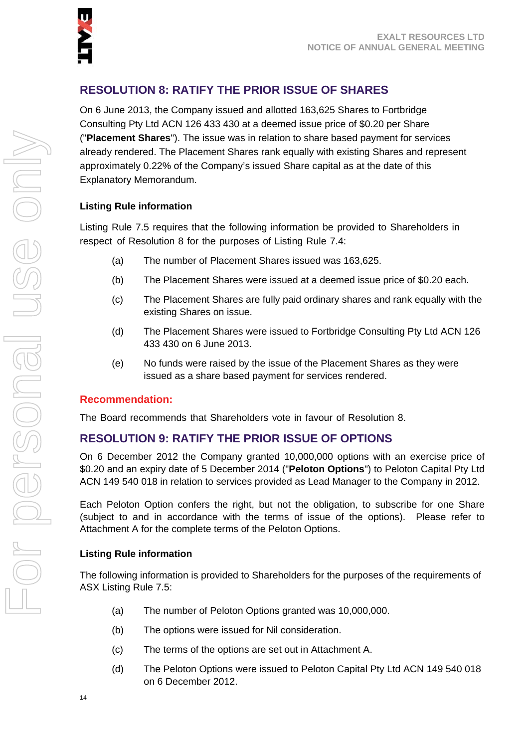# **RESOLUTION 8: RATIFY THE PRIOR ISSUE OF SHARES**

On 6 June 2013, the Company issued and allotted 163,625 Shares to Fortbridge Consulting Pty Ltd ACN 126 433 430 at a deemed issue price of \$0.20 per Share ("**Placement Shares**"). The issue was in relation to share based payment for services already rendered. The Placement Shares rank equally with existing Shares and represent approximately 0.22% of the Company's issued Share capital as at the date of this Explanatory Memorandum.

#### **Listing Rule information**

Listing Rule 7.5 requires that the following information be provided to Shareholders in respect of Resolution 8 for the purposes of Listing Rule 7.4:

- (a) The number of Placement Shares issued was 163,625.
- (b) The Placement Shares were issued at a deemed issue price of \$0.20 each.
- (c) The Placement Shares are fully paid ordinary shares and rank equally with the existing Shares on issue.
- (d) The Placement Shares were issued to Fortbridge Consulting Pty Ltd ACN 126 433 430 on 6 June 2013.
- (e) No funds were raised by the issue of the Placement Shares as they were issued as a share based payment for services rendered.

#### **Recommendation:**

The Board recommends that Shareholders vote in favour of Resolution 8.

#### **RESOLUTION 9: RATIFY THE PRIOR ISSUE OF OPTIONS**

On 6 December 2012 the Company granted 10,000,000 options with an exercise price of \$0.20 and an expiry date of 5 December 2014 ("**Peloton Options**") to Peloton Capital Pty Ltd ACN 149 540 018 in relation to services provided as Lead Manager to the Company in 2012.

Each Peloton Option confers the right, but not the obligation, to subscribe for one Share (subject to and in accordance with the terms of issue of the options). Please refer to Attachment A for the complete terms of the Peloton Options.

#### **Listing Rule information**

The following information is provided to Shareholders for the purposes of the requirements of ASX Listing Rule 7.5:

- (a) The number of Peloton Options granted was 10,000,000.
- (b) The options were issued for Nil consideration.
- (c) The terms of the options are set out in Attachment A.
- (d) The Peloton Options were issued to Peloton Capital Pty Ltd ACN 149 540 018 on 6 December 2012.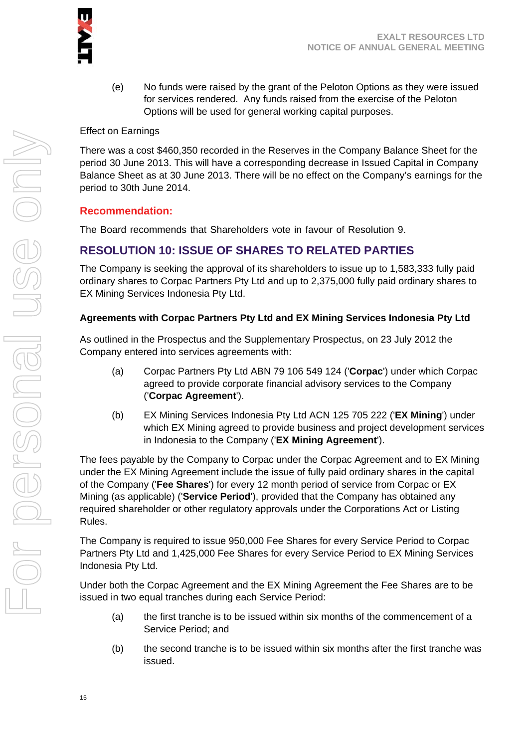

(e) No funds were raised by the grant of the Peloton Options as they were issued for services rendered. Any funds raised from the exercise of the Peloton Options will be used for general working capital purposes.

#### Effect on Earnings

There was a cost \$460,350 recorded in the Reserves in the Company Balance Sheet for the period 30 June 2013. This will have a corresponding decrease in Issued Capital in Company Balance Sheet as at 30 June 2013. There will be no effect on the Company's earnings for the period to 30th June 2014.

#### **Recommendation:**

The Board recommends that Shareholders vote in favour of Resolution 9.

# **RESOLUTION 10: ISSUE OF SHARES TO RELATED PARTIES**

The Company is seeking the approval of its shareholders to issue up to 1,583,333 fully paid ordinary shares to Corpac Partners Pty Ltd and up to 2,375,000 fully paid ordinary shares to EX Mining Services Indonesia Pty Ltd.

#### **Agreements with Corpac Partners Pty Ltd and EX Mining Services Indonesia Pty Ltd**

As outlined in the Prospectus and the Supplementary Prospectus, on 23 July 2012 the Company entered into services agreements with:

- (a) Corpac Partners Pty Ltd ABN 79 106 549 124 ('**Corpac**') under which Corpac agreed to provide corporate financial advisory services to the Company ('**Corpac Agreement**').
- (b) EX Mining Services Indonesia Pty Ltd ACN 125 705 222 ('**EX Mining**') under which EX Mining agreed to provide business and project development services in Indonesia to the Company ('**EX Mining Agreement**').

The fees payable by the Company to Corpac under the Corpac Agreement and to EX Mining under the EX Mining Agreement include the issue of fully paid ordinary shares in the capital of the Company ('**Fee Shares**') for every 12 month period of service from Corpac or EX Mining (as applicable) ('**Service Period**'), provided that the Company has obtained any required shareholder or other regulatory approvals under the Corporations Act or Listing Rules.

The Company is required to issue 950,000 Fee Shares for every Service Period to Corpac Partners Pty Ltd and 1,425,000 Fee Shares for every Service Period to EX Mining Services Indonesia Pty Ltd.

Under both the Corpac Agreement and the EX Mining Agreement the Fee Shares are to be issued in two equal tranches during each Service Period:

- (a) the first tranche is to be issued within six months of the commencement of a Service Period; and
- (b) the second tranche is to be issued within six months after the first tranche was issued.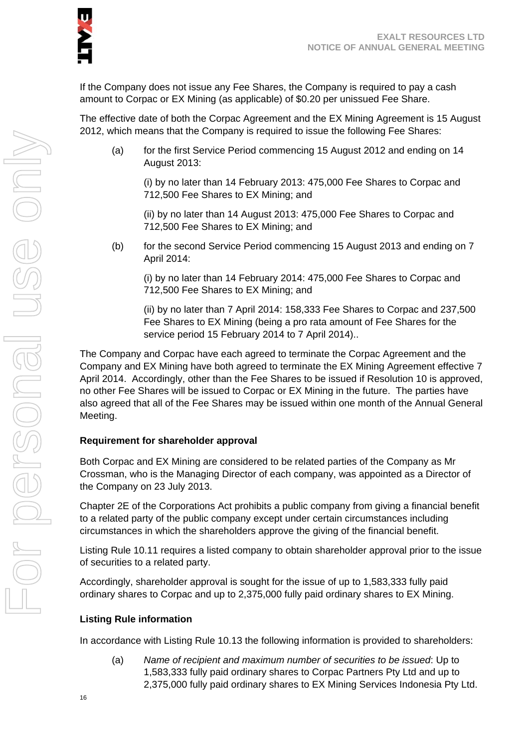If the Company does not issue any Fee Shares, the Company is required to pay a cash amount to Corpac or EX Mining (as applicable) of \$0.20 per unissued Fee Share.

The effective date of both the Corpac Agreement and the EX Mining Agreement is 15 August 2012, which means that the Company is required to issue the following Fee Shares:

(a) for the first Service Period commencing 15 August 2012 and ending on 14 August 2013:

(i) by no later than 14 February 2013: 475,000 Fee Shares to Corpac and 712,500 Fee Shares to EX Mining; and

(ii) by no later than 14 August 2013: 475,000 Fee Shares to Corpac and 712,500 Fee Shares to EX Mining; and

(b) for the second Service Period commencing 15 August 2013 and ending on 7 April 2014:

(i) by no later than 14 February 2014: 475,000 Fee Shares to Corpac and 712,500 Fee Shares to EX Mining; and

(ii) by no later than 7 April 2014: 158,333 Fee Shares to Corpac and 237,500 Fee Shares to EX Mining (being a pro rata amount of Fee Shares for the service period 15 February 2014 to 7 April 2014)..

The Company and Corpac have each agreed to terminate the Corpac Agreement and the Company and EX Mining have both agreed to terminate the EX Mining Agreement effective 7 April 2014. Accordingly, other than the Fee Shares to be issued if Resolution 10 is approved, no other Fee Shares will be issued to Corpac or EX Mining in the future. The parties have also agreed that all of the Fee Shares may be issued within one month of the Annual General Meeting.

#### **Requirement for shareholder approval**

Both Corpac and EX Mining are considered to be related parties of the Company as Mr Crossman, who is the Managing Director of each company, was appointed as a Director of the Company on 23 July 2013.

Chapter 2E of the Corporations Act prohibits a public company from giving a financial benefit to a related party of the public company except under certain circumstances including circumstances in which the shareholders approve the giving of the financial benefit.

Listing Rule 10.11 requires a listed company to obtain shareholder approval prior to the issue of securities to a related party.

Accordingly, shareholder approval is sought for the issue of up to 1,583,333 fully paid ordinary shares to Corpac and up to 2,375,000 fully paid ordinary shares to EX Mining.

#### **Listing Rule information**

In accordance with Listing Rule 10.13 the following information is provided to shareholders:

(a) *Name of recipient and maximum number of securities to be issued*: Up to 1,583,333 fully paid ordinary shares to Corpac Partners Pty Ltd and up to 2,375,000 fully paid ordinary shares to EX Mining Services Indonesia Pty Ltd.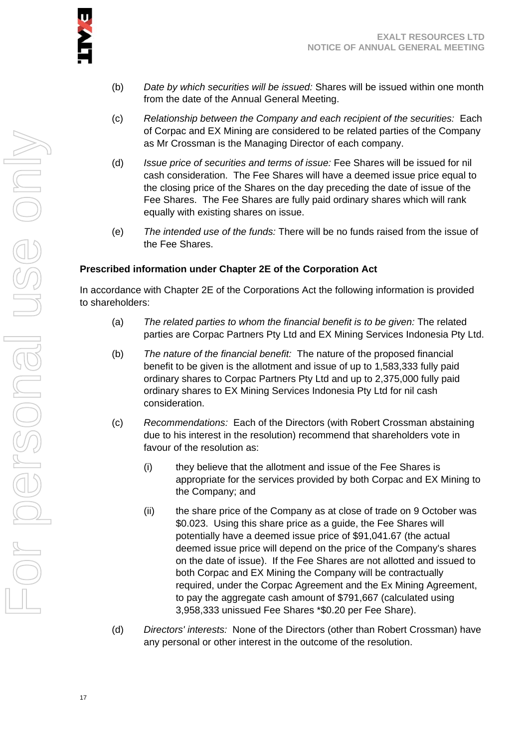

- (b) *Date by which securities will be issued:* Shares will be issued within one month from the date of the Annual General Meeting.
- (c) *Relationship between the Company and each recipient of the securities:* Each of Corpac and EX Mining are considered to be related parties of the Company as Mr Crossman is the Managing Director of each company.
- (d) *Issue price of securities and terms of issue:* Fee Shares will be issued for nil cash consideration. The Fee Shares will have a deemed issue price equal to the closing price of the Shares on the day preceding the date of issue of the Fee Shares. The Fee Shares are fully paid ordinary shares which will rank equally with existing shares on issue.
- (e) *The intended use of the funds:* There will be no funds raised from the issue of the Fee Shares.

#### **Prescribed information under Chapter 2E of the Corporation Act**

In accordance with Chapter 2E of the Corporations Act the following information is provided to shareholders:

- (a) *The related parties to whom the financial benefit is to be given:* The related parties are Corpac Partners Pty Ltd and EX Mining Services Indonesia Pty Ltd.
- (b) *The nature of the financial benefit:* The nature of the proposed financial benefit to be given is the allotment and issue of up to 1,583,333 fully paid ordinary shares to Corpac Partners Pty Ltd and up to 2,375,000 fully paid ordinary shares to EX Mining Services Indonesia Pty Ltd for nil cash consideration.
- (c) *Recommendations:* Each of the Directors (with Robert Crossman abstaining due to his interest in the resolution) recommend that shareholders vote in favour of the resolution as:
	- (i) they believe that the allotment and issue of the Fee Shares is appropriate for the services provided by both Corpac and EX Mining to the Company; and
	- (ii) the share price of the Company as at close of trade on 9 October was \$0.023. Using this share price as a guide, the Fee Shares will potentially have a deemed issue price of \$91,041.67 (the actual deemed issue price will depend on the price of the Company's shares on the date of issue). If the Fee Shares are not allotted and issued to both Corpac and EX Mining the Company will be contractually required, under the Corpac Agreement and the Ex Mining Agreement, to pay the aggregate cash amount of \$791,667 (calculated using 3,958,333 unissued Fee Shares \*\$0.20 per Fee Share).
- (d) *Directors' interests:* None of the Directors (other than Robert Crossman) have any personal or other interest in the outcome of the resolution.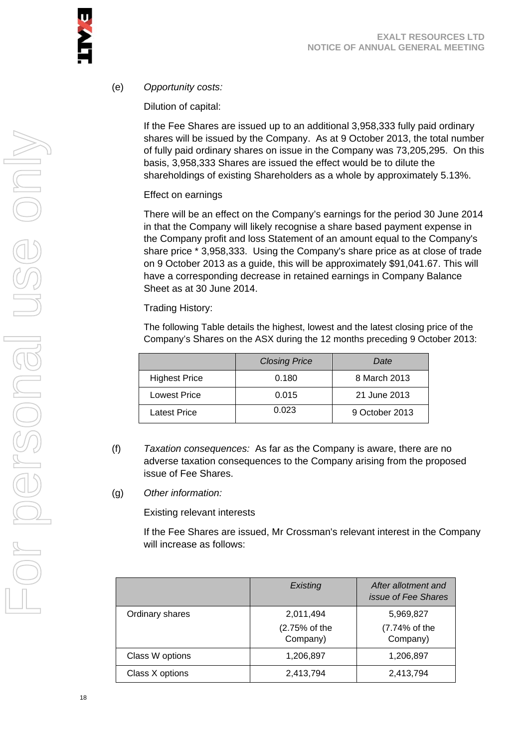#### (e) *Opportunity costs:*

Dilution of capital:

If the Fee Shares are issued up to an additional 3,958,333 fully paid ordinary shares will be issued by the Company. As at 9 October 2013, the total number of fully paid ordinary shares on issue in the Company was 73,205,295. On this basis, 3,958,333 Shares are issued the effect would be to dilute the shareholdings of existing Shareholders as a whole by approximately 5.13%.

#### Effect on earnings

There will be an effect on the Company's earnings for the period 30 June 2014 in that the Company will likely recognise a share based payment expense in the Company profit and loss Statement of an amount equal to the Company's share price \* 3,958,333. Using the Company's share price as at close of trade on 9 October 2013 as a guide, this will be approximately \$91,041.67. This will have a corresponding decrease in retained earnings in Company Balance Sheet as at 30 June 2014.

Trading History:

The following Table details the highest, lowest and the latest closing price of the Company's Shares on the ASX during the 12 months preceding 9 October 2013:

|                      | <b>Closing Price</b> | Date           |
|----------------------|----------------------|----------------|
| <b>Highest Price</b> | 0.180                | 8 March 2013   |
| <b>Lowest Price</b>  | 0.015                | 21 June 2013   |
| Latest Price         | 0.023                | 9 October 2013 |

- (f) *Taxation consequences:* As far as the Company is aware, there are no adverse taxation consequences to the Company arising from the proposed issue of Fee Shares.
- (g) *Other information:*

Existing relevant interests

If the Fee Shares are issued, Mr Crossman's relevant interest in the Company will increase as follows:

|                 | Existing                               | After allotment and<br><i>issue of Fee Shares</i> |
|-----------------|----------------------------------------|---------------------------------------------------|
| Ordinary shares | 2,011,494<br>(2.75% of the<br>Company) | 5,969,827<br>(7.74% of the<br>Company)            |
| Class W options | 1,206,897                              | 1,206,897                                         |
| Class X options | 2,413,794                              | 2,413,794                                         |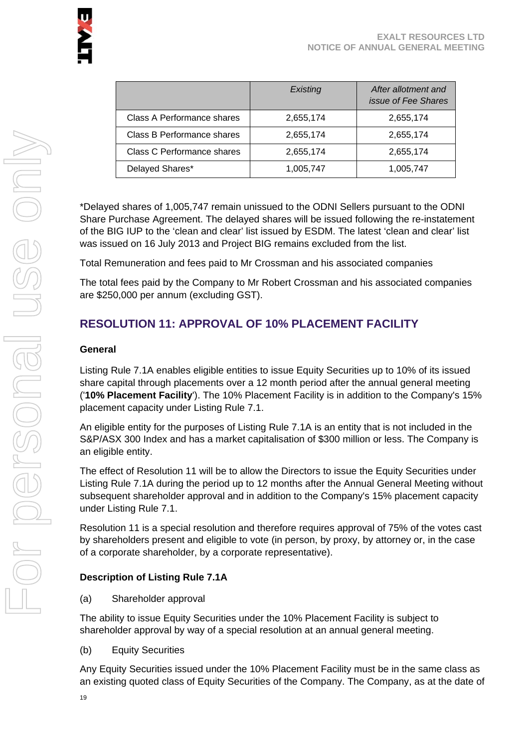

|                                   | Existing  | After allotment and<br><i>issue of Fee Shares</i> |
|-----------------------------------|-----------|---------------------------------------------------|
| Class A Performance shares        | 2,655,174 | 2,655,174                                         |
| <b>Class B Performance shares</b> | 2,655,174 | 2,655,174                                         |
| <b>Class C Performance shares</b> | 2,655,174 | 2,655,174                                         |
| Delayed Shares*                   | 1,005,747 | 1,005,747                                         |

\*Delayed shares of 1,005,747 remain unissued to the ODNI Sellers pursuant to the ODNI Share Purchase Agreement. The delayed shares will be issued following the re-instatement of the BIG IUP to the 'clean and clear' list issued by ESDM. The latest 'clean and clear' list was issued on 16 July 2013 and Project BIG remains excluded from the list.

Total Remuneration and fees paid to Mr Crossman and his associated companies

The total fees paid by the Company to Mr Robert Crossman and his associated companies are \$250,000 per annum (excluding GST).

# **RESOLUTION 11: APPROVAL OF 10% PLACEMENT FACILITY**

#### **General**

Listing Rule 7.1A enables eligible entities to issue Equity Securities up to 10% of its issued share capital through placements over a 12 month period after the annual general meeting ('**10% Placement Facility**'). The 10% Placement Facility is in addition to the Company's 15% placement capacity under Listing Rule 7.1.

An eligible entity for the purposes of Listing Rule 7.1A is an entity that is not included in the S&P/ASX 300 Index and has a market capitalisation of \$300 million or less. The Company is an eligible entity.

The effect of Resolution 11 will be to allow the Directors to issue the Equity Securities under Listing Rule 7.1A during the period up to 12 months after the Annual General Meeting without subsequent shareholder approval and in addition to the Company's 15% placement capacity under Listing Rule 7.1.

Resolution 11 is a special resolution and therefore requires approval of 75% of the votes cast by shareholders present and eligible to vote (in person, by proxy, by attorney or, in the case of a corporate shareholder, by a corporate representative).

#### **Description of Listing Rule 7.1A**

(a) Shareholder approval

The ability to issue Equity Securities under the 10% Placement Facility is subject to shareholder approval by way of a special resolution at an annual general meeting.

(b) Equity Securities

Any Equity Securities issued under the 10% Placement Facility must be in the same class as an existing quoted class of Equity Securities of the Company. The Company, as at the date of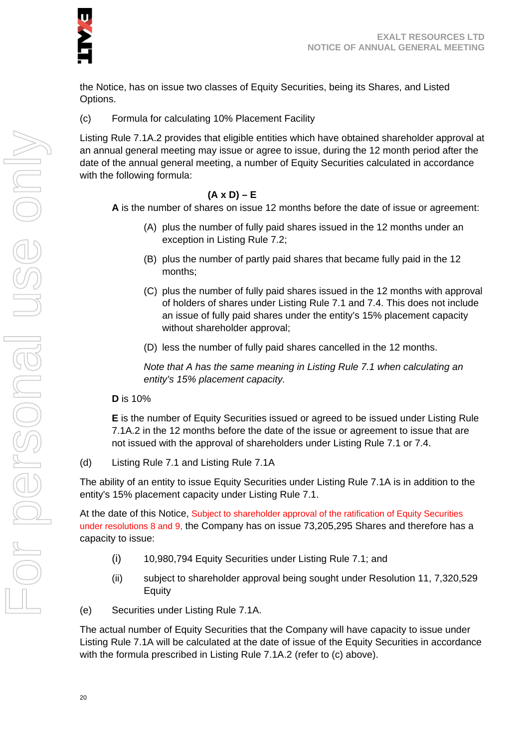the Notice, has on issue two classes of Equity Securities, being its Shares, and Listed Options.

(c) Formula for calculating 10% Placement Facility

Listing Rule 7.1A.2 provides that eligible entities which have obtained shareholder approval at an annual general meeting may issue or agree to issue, during the 12 month period after the date of the annual general meeting, a number of Equity Securities calculated in accordance with the following formula:

#### **(A x D) – E**

**A** is the number of shares on issue 12 months before the date of issue or agreement:

- (A) plus the number of fully paid shares issued in the 12 months under an exception in Listing Rule 7.2;
- (B) plus the number of partly paid shares that became fully paid in the 12 months;
- (C) plus the number of fully paid shares issued in the 12 months with approval of holders of shares under Listing Rule 7.1 and 7.4. This does not include an issue of fully paid shares under the entity's 15% placement capacity without shareholder approval;
- (D) less the number of fully paid shares cancelled in the 12 months.

*Note that A has the same meaning in Listing Rule 7.1 when calculating an entity's 15% placement capacity.* 

**D** is 10%

**E** is the number of Equity Securities issued or agreed to be issued under Listing Rule 7.1A.2 in the 12 months before the date of the issue or agreement to issue that are not issued with the approval of shareholders under Listing Rule 7.1 or 7.4.

(d) Listing Rule 7.1 and Listing Rule 7.1A

The ability of an entity to issue Equity Securities under Listing Rule 7.1A is in addition to the entity's 15% placement capacity under Listing Rule 7.1.

At the date of this Notice, Subject to shareholder approval of the ratification of Equity Securities under resolutions 8 and 9, the Company has on issue 73,205,295 Shares and therefore has a capacity to issue:

- (i) 10,980,794 Equity Securities under Listing Rule 7.1; and
- (ii) subject to shareholder approval being sought under Resolution 11, 7,320,529 Equity
- (e) Securities under Listing Rule 7.1A.

The actual number of Equity Securities that the Company will have capacity to issue under Listing Rule 7.1A will be calculated at the date of issue of the Equity Securities in accordance with the formula prescribed in Listing Rule 7.1A.2 (refer to (c) above).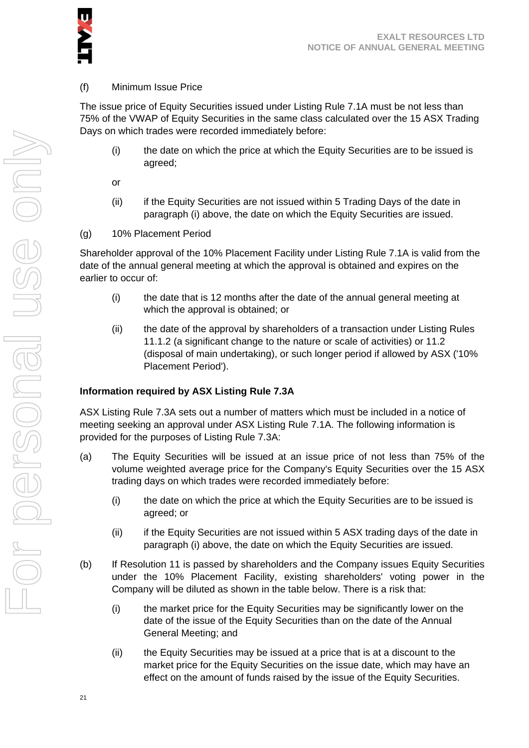

#### (f) Minimum Issue Price

The issue price of Equity Securities issued under Listing Rule 7.1A must be not less than 75% of the VWAP of Equity Securities in the same class calculated over the 15 ASX Trading Days on which trades were recorded immediately before:

(i) the date on which the price at which the Equity Securities are to be issued is agreed;

or

- (ii) if the Equity Securities are not issued within 5 Trading Days of the date in paragraph (i) above, the date on which the Equity Securities are issued.
- (g) 10% Placement Period

Shareholder approval of the 10% Placement Facility under Listing Rule 7.1A is valid from the date of the annual general meeting at which the approval is obtained and expires on the earlier to occur of:

- (i) the date that is 12 months after the date of the annual general meeting at which the approval is obtained; or
- (ii) the date of the approval by shareholders of a transaction under Listing Rules 11.1.2 (a significant change to the nature or scale of activities) or 11.2 (disposal of main undertaking), or such longer period if allowed by ASX ('10% Placement Period').

#### **Information required by ASX Listing Rule 7.3A**

ASX Listing Rule 7.3A sets out a number of matters which must be included in a notice of meeting seeking an approval under ASX Listing Rule 7.1A. The following information is provided for the purposes of Listing Rule 7.3A:

- (a) The Equity Securities will be issued at an issue price of not less than 75% of the volume weighted average price for the Company's Equity Securities over the 15 ASX trading days on which trades were recorded immediately before:
	- (i) the date on which the price at which the Equity Securities are to be issued is agreed; or
	- (ii) if the Equity Securities are not issued within 5 ASX trading days of the date in paragraph (i) above, the date on which the Equity Securities are issued.
- (b) If Resolution 11 is passed by shareholders and the Company issues Equity Securities under the 10% Placement Facility, existing shareholders' voting power in the Company will be diluted as shown in the table below. There is a risk that:
	- (i) the market price for the Equity Securities may be significantly lower on the date of the issue of the Equity Securities than on the date of the Annual General Meeting; and
	- (ii) the Equity Securities may be issued at a price that is at a discount to the market price for the Equity Securities on the issue date, which may have an effect on the amount of funds raised by the issue of the Equity Securities.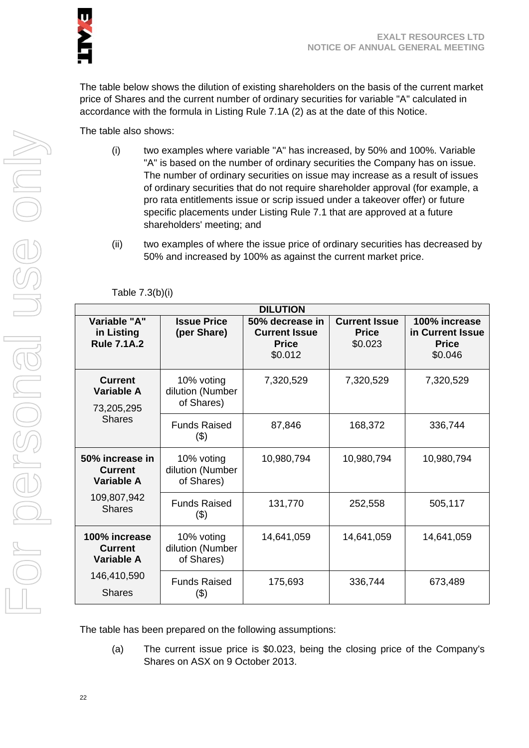

The table below shows the dilution of existing shareholders on the basis of the current market price of Shares and the current number of ordinary securities for variable "A" calculated in accordance with the formula in Listing Rule 7.1A (2) as at the date of this Notice.

The table also shows:

- (i) two examples where variable "A" has increased, by 50% and 100%. Variable "A" is based on the number of ordinary securities the Company has on issue. The number of ordinary securities on issue may increase as a result of issues of ordinary securities that do not require shareholder approval (for example, a pro rata entitlements issue or scrip issued under a takeover offer) or future specific placements under Listing Rule 7.1 that are approved at a future shareholders' meeting; and
- (ii) two examples of where the issue price of ordinary securities has decreased by 50% and increased by 100% as against the current market price.

| Variable "A"                                           | <b>Issue Price</b>                           | <b>DILUTION</b><br>50% decrease in              | <b>Current Issue</b>    | 100% increase                               |
|--------------------------------------------------------|----------------------------------------------|-------------------------------------------------|-------------------------|---------------------------------------------|
| in Listing<br><b>Rule 7.1A.2</b>                       | (per Share)                                  | <b>Current Issue</b><br><b>Price</b><br>\$0.012 | <b>Price</b><br>\$0.023 | in Current Issue<br><b>Price</b><br>\$0.046 |
| <b>Current</b><br>Variable A<br>73,205,295             | 10% voting<br>dilution (Number<br>of Shares) | 7,320,529                                       | 7,320,529               | 7,320,529                                   |
| <b>Shares</b>                                          | <b>Funds Raised</b><br>(3)                   | 87,846                                          | 168,372                 | 336,744                                     |
| 50% increase in<br><b>Current</b><br><b>Variable A</b> | 10% voting<br>dilution (Number<br>of Shares) | 10,980,794                                      | 10,980,794              | 10,980,794                                  |
| 109,807,942<br><b>Shares</b>                           | <b>Funds Raised</b><br>(3)                   | 131,770                                         | 252,558                 | 505,117                                     |
| 100% increase<br><b>Current</b><br>Variable A          | 10% voting<br>dilution (Number<br>of Shares) | 14,641,059                                      | 14,641,059              | 14,641,059                                  |
| 146,410,590<br><b>Shares</b>                           | <b>Funds Raised</b><br>\$)                   | 175,693                                         | 336,744                 | 673,489                                     |

Table 7.3(b)(i)

The table has been prepared on the following assumptions:

(a) The current issue price is \$0.023, being the closing price of the Company's Shares on ASX on 9 October 2013.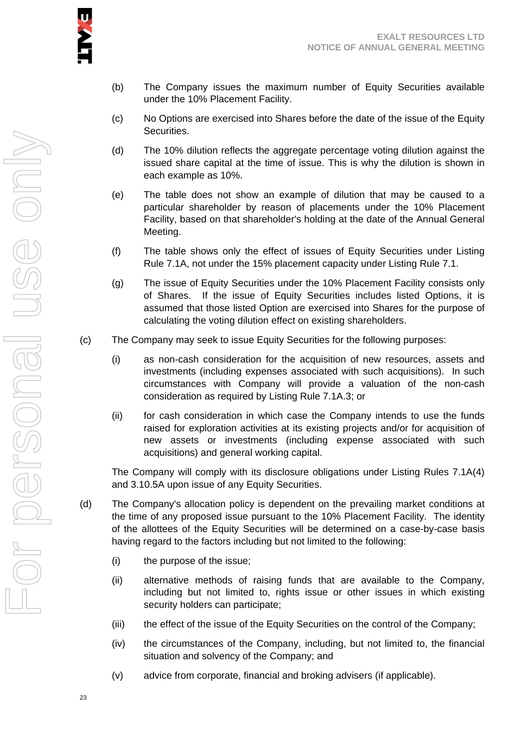

- (b) The Company issues the maximum number of Equity Securities available under the 10% Placement Facility.
- (c) No Options are exercised into Shares before the date of the issue of the Equity Securities.
- (d) The 10% dilution reflects the aggregate percentage voting dilution against the issued share capital at the time of issue. This is why the dilution is shown in each example as 10%.
- (e) The table does not show an example of dilution that may be caused to a particular shareholder by reason of placements under the 10% Placement Facility, based on that shareholder's holding at the date of the Annual General Meeting.
- (f) The table shows only the effect of issues of Equity Securities under Listing Rule 7.1A, not under the 15% placement capacity under Listing Rule 7.1.
- (g) The issue of Equity Securities under the 10% Placement Facility consists only of Shares. If the issue of Equity Securities includes listed Options, it is assumed that those listed Option are exercised into Shares for the purpose of calculating the voting dilution effect on existing shareholders.
- (c) The Company may seek to issue Equity Securities for the following purposes:
	- (i) as non-cash consideration for the acquisition of new resources, assets and investments (including expenses associated with such acquisitions). In such circumstances with Company will provide a valuation of the non-cash consideration as required by Listing Rule 7.1A.3; or
	- (ii) for cash consideration in which case the Company intends to use the funds raised for exploration activities at its existing projects and/or for acquisition of new assets or investments (including expense associated with such acquisitions) and general working capital.

The Company will comply with its disclosure obligations under Listing Rules 7.1A(4) and 3.10.5A upon issue of any Equity Securities.

- (d) The Company's allocation policy is dependent on the prevailing market conditions at the time of any proposed issue pursuant to the 10% Placement Facility. The identity of the allottees of the Equity Securities will be determined on a case-by-case basis having regard to the factors including but not limited to the following:
	- (i) the purpose of the issue;
	- (ii) alternative methods of raising funds that are available to the Company, including but not limited to, rights issue or other issues in which existing security holders can participate;
	- (iii) the effect of the issue of the Equity Securities on the control of the Company;
	- (iv) the circumstances of the Company, including, but not limited to, the financial situation and solvency of the Company; and
	- (v) advice from corporate, financial and broking advisers (if applicable).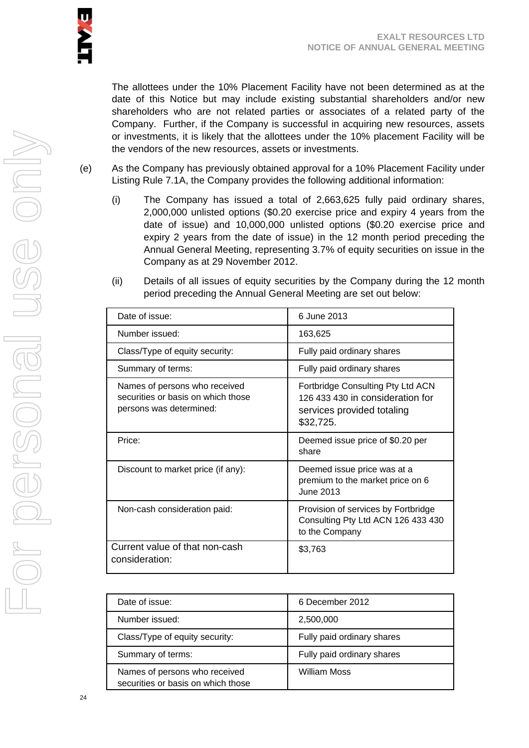The allottees under the 10% Placement Facility have not been determined as at the date of this Notice but may include existing substantial shareholders and/or new shareholders who are not related parties or associates of a related party of the Company. Further, if the Company is successful in acquiring new resources, assets or investments, it is likely that the allottees under the 10% placement Facility will be the vendors of the new resources, assets or investments.

- (e) As the Company has previously obtained approval for a 10% Placement Facility under Listing Rule 7.1A, the Company provides the following additional information:
	- (i) The Company has issued a total of 2,663,625 fully paid ordinary shares, 2,000,000 unlisted options (\$0.20 exercise price and expiry 4 years from the date of issue) and 10,000,000 unlisted options (\$0.20 exercise price and expiry 2 years from the date of issue) in the 12 month period preceding the Annual General Meeting, representing 3.7% of equity securities on issue in the Company as at 29 November 2012.
	- (ii) Details of all issues of equity securities by the Company during the 12 month period preceding the Annual General Meeting are set out below:

| Date of issue:                                                                                 | 6 June 2013                                                                                                      |
|------------------------------------------------------------------------------------------------|------------------------------------------------------------------------------------------------------------------|
| Number issued:                                                                                 | 163,625                                                                                                          |
| Class/Type of equity security:                                                                 | Fully paid ordinary shares                                                                                       |
| Summary of terms:                                                                              | Fully paid ordinary shares                                                                                       |
| Names of persons who received<br>securities or basis on which those<br>persons was determined: | Fortbridge Consulting Pty Ltd ACN<br>126 433 430 in consideration for<br>services provided totaling<br>\$32,725. |
| Price:                                                                                         | Deemed issue price of \$0.20 per<br>share                                                                        |
| Discount to market price (if any):                                                             | Deemed issue price was at a<br>premium to the market price on 6<br>June 2013                                     |
| Non-cash consideration paid:                                                                   | Provision of services by Fortbridge<br>Consulting Pty Ltd ACN 126 433 430<br>to the Company                      |
| Current value of that non-cash<br>consideration:                                               | \$3,763                                                                                                          |

| Date of issue:                                                      | 6 December 2012            |
|---------------------------------------------------------------------|----------------------------|
| Number issued:                                                      | 2,500,000                  |
| Class/Type of equity security:                                      | Fully paid ordinary shares |
| Summary of terms:                                                   | Fully paid ordinary shares |
| Names of persons who received<br>securities or basis on which those | William Moss               |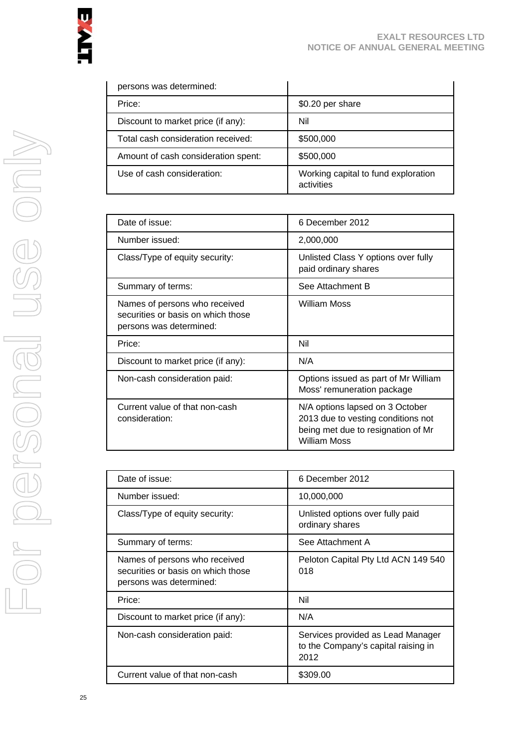| persons was determined:             |                                                   |
|-------------------------------------|---------------------------------------------------|
| Price:                              | \$0.20 per share                                  |
| Discount to market price (if any):  | Nil                                               |
| Total cash consideration received:  | \$500,000                                         |
| Amount of cash consideration spent: | \$500,000                                         |
| Use of cash consideration:          | Working capital to fund exploration<br>activities |

| Date of issue:                                                                                 | 6 December 2012                                                                                                                    |
|------------------------------------------------------------------------------------------------|------------------------------------------------------------------------------------------------------------------------------------|
| Number issued:                                                                                 | 2,000,000                                                                                                                          |
| Class/Type of equity security:                                                                 | Unlisted Class Y options over fully<br>paid ordinary shares                                                                        |
| Summary of terms:                                                                              | See Attachment B                                                                                                                   |
| Names of persons who received<br>securities or basis on which those<br>persons was determined: | <b>William Moss</b>                                                                                                                |
| Price:                                                                                         | Nil                                                                                                                                |
| Discount to market price (if any):                                                             | N/A                                                                                                                                |
| Non-cash consideration paid:                                                                   | Options issued as part of Mr William<br>Moss' remuneration package                                                                 |
| Current value of that non-cash<br>consideration:                                               | N/A options lapsed on 3 October<br>2013 due to vesting conditions not<br>being met due to resignation of Mr<br><b>William Moss</b> |

| Date of issue:                                                                                 | 6 December 2012                                                                  |
|------------------------------------------------------------------------------------------------|----------------------------------------------------------------------------------|
| Number issued:                                                                                 | 10,000,000                                                                       |
| Class/Type of equity security:                                                                 | Unlisted options over fully paid<br>ordinary shares                              |
| Summary of terms:                                                                              | See Attachment A                                                                 |
| Names of persons who received<br>securities or basis on which those<br>persons was determined: | Peloton Capital Pty Ltd ACN 149 540<br>018                                       |
| Price:                                                                                         | Nil                                                                              |
| Discount to market price (if any):                                                             | N/A                                                                              |
| Non-cash consideration paid:                                                                   | Services provided as Lead Manager<br>to the Company's capital raising in<br>2012 |
| Current value of that non-cash                                                                 | \$309.00                                                                         |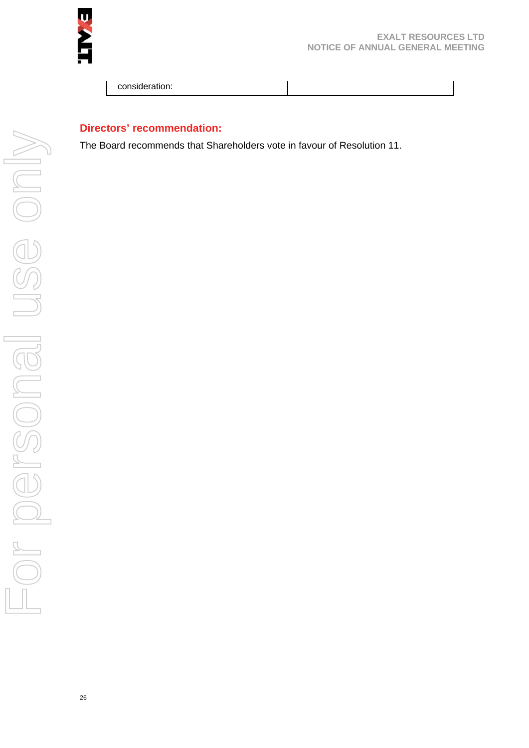

#### **EXALT RESOURCES LTD NOTICE OF ANNUAL GENERAL MEETING**

consideration:

#### **Directors' recommendation:**

The Board recommends that Shareholders vote in favour of Resolution 11.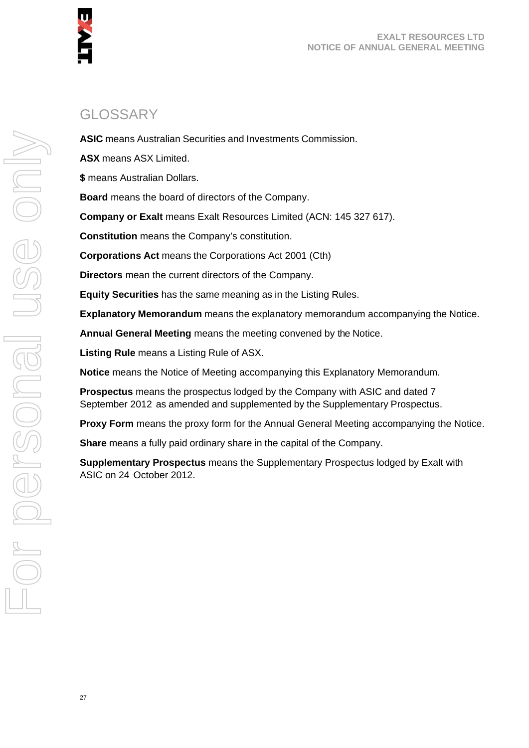

# GLOSSARY

**ASIC** means Australian Securities and Investments Commission.

**ASX** means ASX Limited.

**\$** means Australian Dollars.

**Board** means the board of directors of the Company.

**Company or Exalt** means Exalt Resources Limited (ACN: 145 327 617).

**Constitution** means the Company's constitution.

**Corporations Act** means the Corporations Act 2001 (Cth)

**Directors** mean the current directors of the Company.

**Equity Securities** has the same meaning as in the Listing Rules.

**Explanatory Memorandum** means the explanatory memorandum accompanying the Notice.

**Annual General Meeting** means the meeting convened by the Notice.

**Listing Rule** means a Listing Rule of ASX.

**Notice** means the Notice of Meeting accompanying this Explanatory Memorandum.

**Prospectus** means the prospectus lodged by the Company with ASIC and dated 7 September 2012 as amended and supplemented by the Supplementary Prospectus.

**Proxy Form** means the proxy form for the Annual General Meeting accompanying the Notice.

**Share** means a fully paid ordinary share in the capital of the Company.

**Supplementary Prospectus** means the Supplementary Prospectus lodged by Exalt with ASIC on 24 October 2012.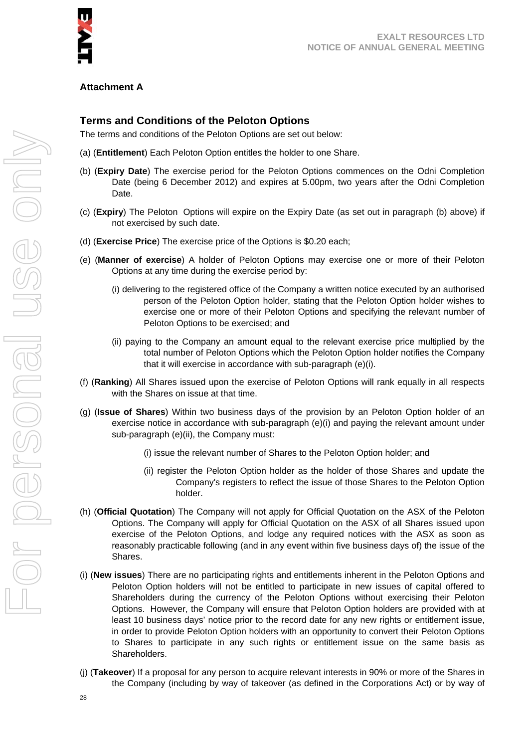

#### **Attachment A**

#### **Terms and Conditions of the Peloton Options**

The terms and conditions of the Peloton Options are set out below:

- (a) (**Entitlement**) Each Peloton Option entitles the holder to one Share.
- (b) (**Expiry Date**) The exercise period for the Peloton Options commences on the Odni Completion Date (being 6 December 2012) and expires at 5.00pm, two years after the Odni Completion Date.
- (c) (**Expiry**) The Peloton Options will expire on the Expiry Date (as set out in paragraph (b) above) if not exercised by such date.
- (d) (**Exercise Price**) The exercise price of the Options is \$0.20 each;
- (e) (**Manner of exercise**) A holder of Peloton Options may exercise one or more of their Peloton Options at any time during the exercise period by:
	- (i) delivering to the registered office of the Company a written notice executed by an authorised person of the Peloton Option holder, stating that the Peloton Option holder wishes to exercise one or more of their Peloton Options and specifying the relevant number of Peloton Options to be exercised; and
	- (ii) paying to the Company an amount equal to the relevant exercise price multiplied by the total number of Peloton Options which the Peloton Option holder notifies the Company that it will exercise in accordance with sub-paragraph (e)(i).
- (f) (**Ranking**) All Shares issued upon the exercise of Peloton Options will rank equally in all respects with the Shares on issue at that time.
- (g) (**Issue of Shares**) Within two business days of the provision by an Peloton Option holder of an exercise notice in accordance with sub-paragraph (e)(i) and paying the relevant amount under sub-paragraph (e)(ii), the Company must:
	- (i) issue the relevant number of Shares to the Peloton Option holder; and
	- (ii) register the Peloton Option holder as the holder of those Shares and update the Company's registers to reflect the issue of those Shares to the Peloton Option holder.
- (h) (**Official Quotation**) The Company will not apply for Official Quotation on the ASX of the Peloton Options. The Company will apply for Official Quotation on the ASX of all Shares issued upon exercise of the Peloton Options, and lodge any required notices with the ASX as soon as reasonably practicable following (and in any event within five business days of) the issue of the Shares.
- (i) (**New issues**) There are no participating rights and entitlements inherent in the Peloton Options and Peloton Option holders will not be entitled to participate in new issues of capital offered to Shareholders during the currency of the Peloton Options without exercising their Peloton Options. However, the Company will ensure that Peloton Option holders are provided with at least 10 business days' notice prior to the record date for any new rights or entitlement issue, in order to provide Peloton Option holders with an opportunity to convert their Peloton Options to Shares to participate in any such rights or entitlement issue on the same basis as Shareholders.
- (j) (**Takeover**) If a proposal for any person to acquire relevant interests in 90% or more of the Shares in the Company (including by way of takeover (as defined in the Corporations Act) or by way of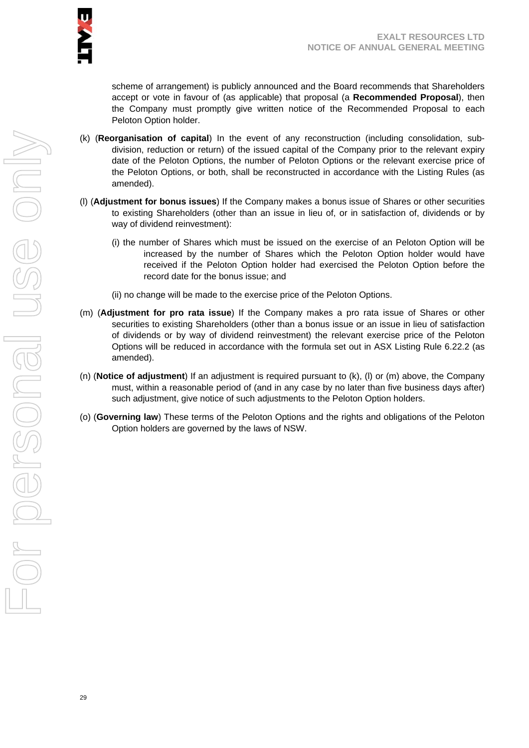scheme of arrangement) is publicly announced and the Board recommends that Shareholders accept or vote in favour of (as applicable) that proposal (a **Recommended Proposal**), then the Company must promptly give written notice of the Recommended Proposal to each Peloton Option holder.

- (k) (**Reorganisation of capital**) In the event of any reconstruction (including consolidation, subdivision, reduction or return) of the issued capital of the Company prior to the relevant expiry date of the Peloton Options, the number of Peloton Options or the relevant exercise price of the Peloton Options, or both, shall be reconstructed in accordance with the Listing Rules (as amended).
- (l) (**Adjustment for bonus issues**) If the Company makes a bonus issue of Shares or other securities to existing Shareholders (other than an issue in lieu of, or in satisfaction of, dividends or by way of dividend reinvestment):
	- (i) the number of Shares which must be issued on the exercise of an Peloton Option will be increased by the number of Shares which the Peloton Option holder would have received if the Peloton Option holder had exercised the Peloton Option before the record date for the bonus issue; and
	- (ii) no change will be made to the exercise price of the Peloton Options.
- (m) (**Adjustment for pro rata issue**) If the Company makes a pro rata issue of Shares or other securities to existing Shareholders (other than a bonus issue or an issue in lieu of satisfaction of dividends or by way of dividend reinvestment) the relevant exercise price of the Peloton Options will be reduced in accordance with the formula set out in ASX Listing Rule 6.22.2 (as amended).
- (n) (**Notice of adjustment**) If an adjustment is required pursuant to (k), (l) or (m) above, the Company must, within a reasonable period of (and in any case by no later than five business days after) such adjustment, give notice of such adjustments to the Peloton Option holders.
- (o) (**Governing law**) These terms of the Peloton Options and the rights and obligations of the Peloton Option holders are governed by the laws of NSW.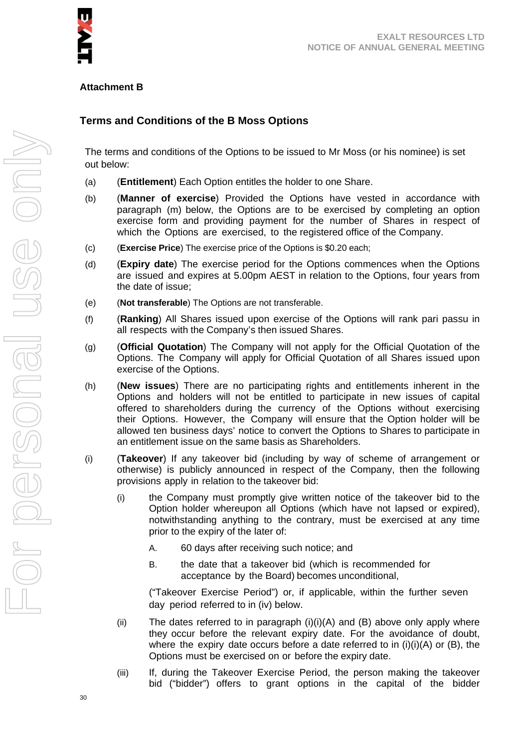

#### **Attachment B**

#### **Terms and Conditions of the B Moss Options**

The terms and conditions of the Options to be issued to Mr Moss (or his nominee) is set out below:

- (a) (**Entitlement**) Each Option entitles the holder to one Share.
- (b) (**Manner of exercise**) Provided the Options have vested in accordance with paragraph (m) below, the Options are to be exercised by completing an option exercise form and providing payment for the number of Shares in respect of which the Options are exercised, to the registered office of the Company.
- (c) (**Exercise Price**) The exercise price of the Options is \$0.20 each;
- (d) (**Expiry date**) The exercise period for the Options commences when the Options are issued and expires at 5.00pm AEST in relation to the Options, four years from the date of issue;
- (e) (**Not transferable**) The Options are not transferable.
- (f) (**Ranking**) All Shares issued upon exercise of the Options will rank pari passu in all respects with the Company's then issued Shares.
- (g) (**Official Quotation**) The Company will not apply for the Official Quotation of the Options. The Company will apply for Official Quotation of all Shares issued upon exercise of the Options.
- (h) (**New issues**) There are no participating rights and entitlements inherent in the Options and holders will not be entitled to participate in new issues of capital offered to shareholders during the currency of the Options without exercising their Options. However, the Company will ensure that the Option holder will be allowed ten business days' notice to convert the Options to Shares to participate in an entitlement issue on the same basis as Shareholders.
- (i) (**Takeover**) If any takeover bid (including by way of scheme of arrangement or otherwise) is publicly announced in respect of the Company, then the following provisions apply in relation to the takeover bid:
	- (i) the Company must promptly give written notice of the takeover bid to the Option holder whereupon all Options (which have not lapsed or expired), notwithstanding anything to the contrary, must be exercised at any time prior to the expiry of the later of:
		- A. 60 days after receiving such notice; and
		- B. the date that a takeover bid (which is recommended for acceptance by the Board) becomes unconditional,

("Takeover Exercise Period") or, if applicable, within the further seven day period referred to in (iv) below.

- (ii) The dates referred to in paragraph  $(i)(i)(A)$  and  $(B)$  above only apply where they occur before the relevant expiry date. For the avoidance of doubt, where the expiry date occurs before a date referred to in  $(i)(i)(A)$  or  $(B)$ , the Options must be exercised on or before the expiry date.
- (iii) If, during the Takeover Exercise Period, the person making the takeover bid ("bidder") offers to grant options in the capital of the bidder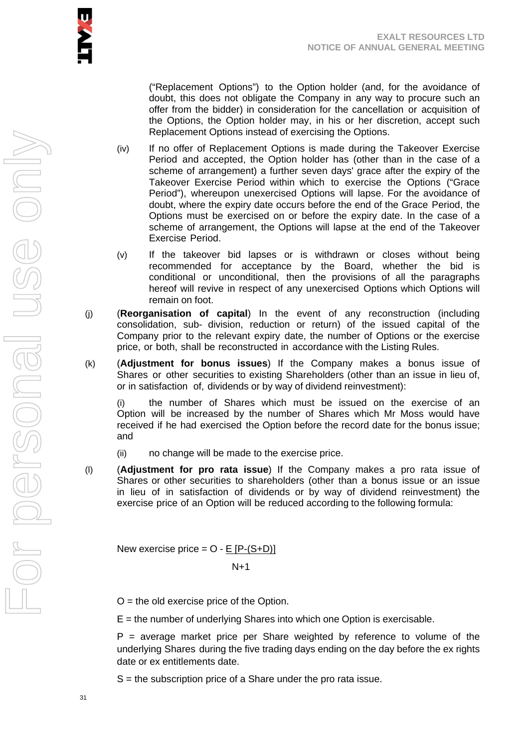("Replacement Options") to the Option holder (and, for the avoidance of doubt, this does not obligate the Company in any way to procure such an offer from the bidder) in consideration for the cancellation or acquisition of the Options, the Option holder may, in his or her discretion, accept such Replacement Options instead of exercising the Options.

- (iv) If no offer of Replacement Options is made during the Takeover Exercise Period and accepted, the Option holder has (other than in the case of a scheme of arrangement) a further seven days' grace after the expiry of the Takeover Exercise Period within which to exercise the Options ("Grace Period"), whereupon unexercised Options will lapse. For the avoidance of doubt, where the expiry date occurs before the end of the Grace Period, the Options must be exercised on or before the expiry date. In the case of a scheme of arrangement, the Options will lapse at the end of the Takeover Exercise Period.
- (v) If the takeover bid lapses or is withdrawn or closes without being recommended for acceptance by the Board, whether the bid is conditional or unconditional, then the provisions of all the paragraphs hereof will revive in respect of any unexercised Options which Options will remain on foot.
- (j) (**Reorganisation of capital**) In the event of any reconstruction (including consolidation, sub- division, reduction or return) of the issued capital of the Company prior to the relevant expiry date, the number of Options or the exercise price, or both, shall be reconstructed in accordance with the Listing Rules.
- (k) (**Adjustment for bonus issues**) If the Company makes a bonus issue of Shares or other securities to existing Shareholders (other than an issue in lieu of, or in satisfaction of, dividends or by way of dividend reinvestment):

(i) the number of Shares which must be issued on the exercise of an Option will be increased by the number of Shares which Mr Moss would have received if he had exercised the Option before the record date for the bonus issue; and

- (ii) no change will be made to the exercise price.
- (l) (**Adjustment for pro rata issue**) If the Company makes a pro rata issue of Shares or other securities to shareholders (other than a bonus issue or an issue in lieu of in satisfaction of dividends or by way of dividend reinvestment) the exercise price of an Option will be reduced according to the following formula:

New exercise price  $=$  O  $-$  E [P $-(S+D)$ ]

 $N+1$ 

 $O =$  the old exercise price of the Option.

 $E =$  the number of underlying Shares into which one Option is exercisable.

 $P =$  average market price per Share weighted by reference to volume of the underlying Shares during the five trading days ending on the day before the ex rights date or ex entitlements date.

S = the subscription price of a Share under the pro rata issue.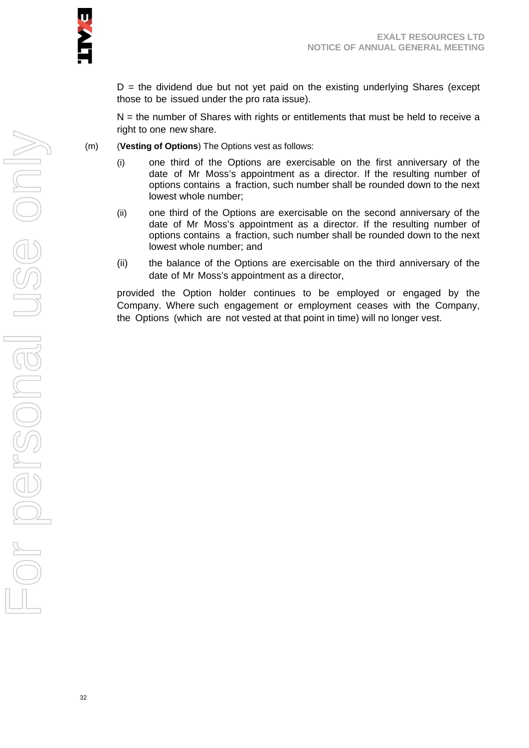$D =$  the dividend due but not yet paid on the existing underlying Shares (except those to be issued under the pro rata issue).

 $N =$  the number of Shares with rights or entitlements that must be held to receive a right to one new share.

- (m) (**Vesting of Options**) The Options vest as follows:
	- (i) one third of the Options are exercisable on the first anniversary of the date of Mr Moss's appointment as a director. If the resulting number of options contains a fraction, such number shall be rounded down to the next lowest whole number;
	- (ii) one third of the Options are exercisable on the second anniversary of the date of Mr Moss's appointment as a director. If the resulting number of options contains a fraction, such number shall be rounded down to the next lowest whole number; and
	- (ii) the balance of the Options are exercisable on the third anniversary of the date of Mr Moss's appointment as a director,

provided the Option holder continues to be employed or engaged by the Company. Where such engagement or employment ceases with the Company, the Options (which are not vested at that point in time) will no longer vest.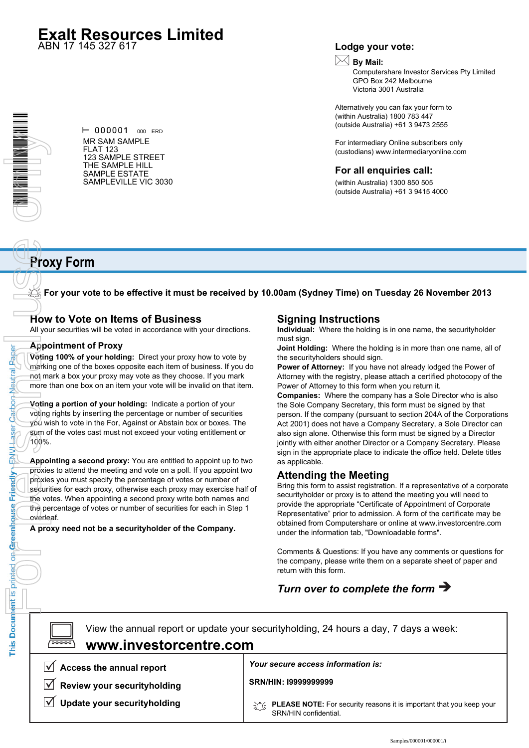# **Exalt Resources Limited**

ABN 17 145 327 617

#### **Lodge your vote:**

# **By Mail:**

Computershare Investor Services Pty Limited GPO Box 242 Melbourne Victoria 3001 Australia

Alternatively you can fax your form to (within Australia) 1800 783 447 (outside Australia) +61 3 9473 2555

For intermediary Online subscribers only (custodians) www.intermediaryonline.com

#### **For all enquiries call:**

(within Australia) 1300 850 505 (outside Australia) +61 3 9415 4000

# **Proxy Form**

**For your vote to be effective it must be received by 10.00am (Sydney Time) on Tuesday 26 November 2013**

#### **How to Vote on Items of Business**

All your securities will be voted in accordance with your directions.

#### **Appointment of Proxy**

**Voting 100% of your holding:** Direct your proxy how to vote by marking one of the boxes opposite each item of business. If you do not mark a box your proxy may vote as they choose. If you mark more than one box on an item your vote will be invalid on that item.

**Voting a portion of your holding:** Indicate a portion of your voting rights by inserting the percentage or number of securities you wish to vote in the For, Against or Abstain box or boxes. The sum of the votes cast must not exceed your voting entitlement or 100%.

**Appointing a second proxy:** You are entitled to appoint up to two proxies to attend the meeting and vote on a poll. If you appoint two proxies you must specify the percentage of votes or number of securities for each proxy, otherwise each proxy may exercise half of the votes. When appointing a second proxy write both names and the percentage of votes or number of securities for each in Step 1 overleaf. The prison of General views of Catbon Desired Desired only to the Real of the Real of School of the Real of School of the Real of School of the Real of the Real of the Real of the Real of the Real of the Real of the Real o

**A proxy need not be a securityholder of the Company.**

#### **Signing Instructions**

**Individual:** Where the holding is in one name, the securityholder must sign.

**Joint Holding:** Where the holding is in more than one name, all of the securityholders should sign.

**Power of Attorney:** If you have not already lodged the Power of Attorney with the registry, please attach a certified photocopy of the Power of Attorney to this form when you return it.

**Companies:** Where the company has a Sole Director who is also the Sole Company Secretary, this form must be signed by that person. If the company (pursuant to section 204A of the Corporations Act 2001) does not have a Company Secretary, a Sole Director can also sign alone. Otherwise this form must be signed by a Director jointly with either another Director or a Company Secretary. Please sign in the appropriate place to indicate the office held. Delete titles as applicable.

#### **Attending the Meeting**

Bring this form to assist registration. If a representative of a corporate securityholder or proxy is to attend the meeting you will need to provide the appropriate "Certificate of Appointment of Corporate Representative" prior to admission. A form of the certificate may be obtained from Computershare or online at www.investorcentre.com under the information tab, "Downloadable forms".

Comments & Questions: If you have any comments or questions for the company, please write them on a separate sheet of paper and return with this form.

# *Turn over to complete the form*

**SRN/HIN: I9999999999** View the annual report or update your securityholding, 24 hours a day, 7 days a week: **Access the annual report Review your securityholding Update your securityholding** *Your secure access information is:* **PLEASE NOTE:** For security reasons it is important that you keep your  $\boxed{\square}$ **www.investorcentre.com**

SRN/HIN confidential.

 $- 000001$  000 ERD MR SAM SAMPLE FLAT 123 123 SAMPLE STREET THE SAMPLE HILL SAMPLE ESTATE SAMPLEVILLE VIC 3030

Paper

Neutral

Carbon

**Laser** 

**HANH** 

Friendly

This Document is printed on Greenhouse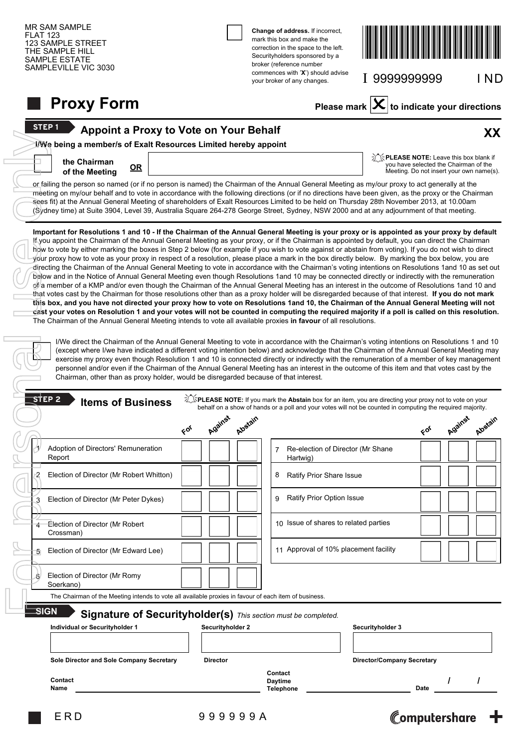| <b>MR SAM SAMPLE</b><br><b>FLAT 123</b><br>123 SAMPLE STREET<br>THE SAMPLE HILL<br><b>SAMPLE ESTATE</b><br>SAMPLEVILLE VIC 3030                                                                                                                                                                                                                                                                                                                                                                                                                                                                                                                                                                                                                                                                                                                                                                                                                                                                                                                                                                                                                                                                                                                                                                                                                                                                                                                                                                                                                                                                                                                                                                                                                                                                                                                                                                                           |                  | Change of address. If incorrect,<br>mark this box and make the<br>correction in the space to the left.<br>Securityholders sponsored by a<br>broker (reference number<br>commences with 'X') should advise<br>your broker of any changes. | I 9999999999                             | I ND                                                                              |
|---------------------------------------------------------------------------------------------------------------------------------------------------------------------------------------------------------------------------------------------------------------------------------------------------------------------------------------------------------------------------------------------------------------------------------------------------------------------------------------------------------------------------------------------------------------------------------------------------------------------------------------------------------------------------------------------------------------------------------------------------------------------------------------------------------------------------------------------------------------------------------------------------------------------------------------------------------------------------------------------------------------------------------------------------------------------------------------------------------------------------------------------------------------------------------------------------------------------------------------------------------------------------------------------------------------------------------------------------------------------------------------------------------------------------------------------------------------------------------------------------------------------------------------------------------------------------------------------------------------------------------------------------------------------------------------------------------------------------------------------------------------------------------------------------------------------------------------------------------------------------------------------------------------------------|------------------|------------------------------------------------------------------------------------------------------------------------------------------------------------------------------------------------------------------------------------------|------------------------------------------|-----------------------------------------------------------------------------------|
| <b>Proxy Form</b>                                                                                                                                                                                                                                                                                                                                                                                                                                                                                                                                                                                                                                                                                                                                                                                                                                                                                                                                                                                                                                                                                                                                                                                                                                                                                                                                                                                                                                                                                                                                                                                                                                                                                                                                                                                                                                                                                                         |                  | Please mark                                                                                                                                                                                                                              |                                          | $\mathbf{X}$ to indicate your directions                                          |
| <b>STEP1</b><br>Appoint a Proxy to Vote on Your Behalf                                                                                                                                                                                                                                                                                                                                                                                                                                                                                                                                                                                                                                                                                                                                                                                                                                                                                                                                                                                                                                                                                                                                                                                                                                                                                                                                                                                                                                                                                                                                                                                                                                                                                                                                                                                                                                                                    |                  |                                                                                                                                                                                                                                          |                                          | XX                                                                                |
| I/We being a member/s of Exalt Resources Limited hereby appoint<br>the Chairman<br>QR<br>of the Meeting                                                                                                                                                                                                                                                                                                                                                                                                                                                                                                                                                                                                                                                                                                                                                                                                                                                                                                                                                                                                                                                                                                                                                                                                                                                                                                                                                                                                                                                                                                                                                                                                                                                                                                                                                                                                                   |                  |                                                                                                                                                                                                                                          | <b>The NOTE:</b> Leave this box blank if | you have selected the Chairman of the<br>Meeting. Do not insert your own name(s). |
| or failing the person so named (or if no person is named) the Chairman of the Annual General Meeting as my/our proxy to act generally at the<br>meeting on my/our behalf and to vote in accordance with the following directions (or if no directions have been given, as the proxy or the Chairman<br>sees fit) at the Annual General Meeting of shareholders of Exalt Resources Limited to be held on Thursday 28th November 2013, at 10.00am<br>(Sydney time) at Suite 3904, Level 39, Australia Square 264-278 George Street, Sydney, NSW 2000 and at any adjournment of that meeting.                                                                                                                                                                                                                                                                                                                                                                                                                                                                                                                                                                                                                                                                                                                                                                                                                                                                                                                                                                                                                                                                                                                                                                                                                                                                                                                                |                  |                                                                                                                                                                                                                                          |                                          |                                                                                   |
| your proxy how to vote as your proxy in respect of a resolution, please place a mark in the box directly below. By marking the box below, you are<br>directing the Chairman of the Annual General Meeting to vote in accordance with the Chairman's voting intentions on Resolutions 1and 10 as set out<br>below and in the Notice of Annual General Meeting even though Resolutions 1and 10 may be connected directly or indirectly with the remuneration<br>of a member of a KMP and/or even though the Chairman of the Annual General Meeting has an interest in the outcome of Resolutions 1and 10 and<br>that votes cast by the Chairman for those resolutions other than as a proxy holder will be disregarded because of that interest. If you do not mark<br>this box, and you have not directed your proxy how to vote on Resolutions 1and 10, the Chairman of the Annual General Meeting will not<br>cast your votes on Resolution 1 and your votes will not be counted in computing the required majority if a poll is called on this resolution.<br>The Chairman of the Annual General Meeting intends to vote all available proxies in favour of all resolutions.<br>I/We direct the Chairman of the Annual General Meeting to vote in accordance with the Chairman's voting intentions on Resolutions 1 and 10<br>(except where I/we have indicated a different voting intention below) and acknowledge that the Chairman of the Annual General Meeting may<br>exercise my proxy even though Resolution 1 and 10 is connected directly or indirectly with the remuneration of a member of key management<br>personnel and/or even if the Chairman of the Annual General Meeting has an interest in the outcome of this item and that votes cast by the<br>Chairman, other than as proxy holder, would be disregarded because of that interest.<br>$\overline{\mathsf{s}}$ tep 2<br><b>Items of Business</b> |                  | Z EPLEASE NOTE: If you mark the Abstain box for an item, you are directing your proxy not to vote on your<br>behalf on a show of hands or a poll and your votes will not be counted in computing the required majority.                  |                                          |                                                                                   |
|                                                                                                                                                                                                                                                                                                                                                                                                                                                                                                                                                                                                                                                                                                                                                                                                                                                                                                                                                                                                                                                                                                                                                                                                                                                                                                                                                                                                                                                                                                                                                                                                                                                                                                                                                                                                                                                                                                                           | Against<br>66    | Algétain                                                                                                                                                                                                                                 | 66                                       | Against<br>Alostain                                                               |
| Adoption of Directors' Remuneration<br>Report                                                                                                                                                                                                                                                                                                                                                                                                                                                                                                                                                                                                                                                                                                                                                                                                                                                                                                                                                                                                                                                                                                                                                                                                                                                                                                                                                                                                                                                                                                                                                                                                                                                                                                                                                                                                                                                                             |                  | Re-election of Director (Mr Shane<br>7<br>Hartwig)                                                                                                                                                                                       |                                          |                                                                                   |
| 2<br>Election of Director (Mr Robert Whitton)                                                                                                                                                                                                                                                                                                                                                                                                                                                                                                                                                                                                                                                                                                                                                                                                                                                                                                                                                                                                                                                                                                                                                                                                                                                                                                                                                                                                                                                                                                                                                                                                                                                                                                                                                                                                                                                                             |                  | Ratify Prior Share Issue<br>8                                                                                                                                                                                                            |                                          |                                                                                   |
| Election of Director (Mr Peter Dykes)<br>3                                                                                                                                                                                                                                                                                                                                                                                                                                                                                                                                                                                                                                                                                                                                                                                                                                                                                                                                                                                                                                                                                                                                                                                                                                                                                                                                                                                                                                                                                                                                                                                                                                                                                                                                                                                                                                                                                |                  | Ratify Prior Option Issue<br>9                                                                                                                                                                                                           |                                          |                                                                                   |
| Election of Director (Mr Robert<br>Crossman)                                                                                                                                                                                                                                                                                                                                                                                                                                                                                                                                                                                                                                                                                                                                                                                                                                                                                                                                                                                                                                                                                                                                                                                                                                                                                                                                                                                                                                                                                                                                                                                                                                                                                                                                                                                                                                                                              |                  | 10 Issue of shares to related parties                                                                                                                                                                                                    |                                          |                                                                                   |
| Election of Director (Mr Edward Lee)                                                                                                                                                                                                                                                                                                                                                                                                                                                                                                                                                                                                                                                                                                                                                                                                                                                                                                                                                                                                                                                                                                                                                                                                                                                                                                                                                                                                                                                                                                                                                                                                                                                                                                                                                                                                                                                                                      |                  | 11 Approval of 10% placement facility                                                                                                                                                                                                    |                                          |                                                                                   |
| Election of Director (Mr Romy<br>6<br>Soerkano)                                                                                                                                                                                                                                                                                                                                                                                                                                                                                                                                                                                                                                                                                                                                                                                                                                                                                                                                                                                                                                                                                                                                                                                                                                                                                                                                                                                                                                                                                                                                                                                                                                                                                                                                                                                                                                                                           |                  |                                                                                                                                                                                                                                          |                                          |                                                                                   |
| The Chairman of the Meeting intends to vote all available proxies in favour of each item of business.                                                                                                                                                                                                                                                                                                                                                                                                                                                                                                                                                                                                                                                                                                                                                                                                                                                                                                                                                                                                                                                                                                                                                                                                                                                                                                                                                                                                                                                                                                                                                                                                                                                                                                                                                                                                                     |                  |                                                                                                                                                                                                                                          |                                          |                                                                                   |
| <b>SIGN</b><br>Signature of Securityholder(s) This section must be completed.<br>Individual or Securityholder 1                                                                                                                                                                                                                                                                                                                                                                                                                                                                                                                                                                                                                                                                                                                                                                                                                                                                                                                                                                                                                                                                                                                                                                                                                                                                                                                                                                                                                                                                                                                                                                                                                                                                                                                                                                                                           | Securityholder 2 |                                                                                                                                                                                                                                          | Securityholder 3                         |                                                                                   |
|                                                                                                                                                                                                                                                                                                                                                                                                                                                                                                                                                                                                                                                                                                                                                                                                                                                                                                                                                                                                                                                                                                                                                                                                                                                                                                                                                                                                                                                                                                                                                                                                                                                                                                                                                                                                                                                                                                                           |                  |                                                                                                                                                                                                                                          |                                          |                                                                                   |
| Sole Director and Sole Company Secretary                                                                                                                                                                                                                                                                                                                                                                                                                                                                                                                                                                                                                                                                                                                                                                                                                                                                                                                                                                                                                                                                                                                                                                                                                                                                                                                                                                                                                                                                                                                                                                                                                                                                                                                                                                                                                                                                                  | <b>Director</b>  |                                                                                                                                                                                                                                          | <b>Director/Company Secretary</b>        |                                                                                   |
| Contact<br>Name                                                                                                                                                                                                                                                                                                                                                                                                                                                                                                                                                                                                                                                                                                                                                                                                                                                                                                                                                                                                                                                                                                                                                                                                                                                                                                                                                                                                                                                                                                                                                                                                                                                                                                                                                                                                                                                                                                           |                  | Contact<br><b>Daytime</b><br><b>Telephone</b>                                                                                                                                                                                            | Date                                     |                                                                                   |
| ERD                                                                                                                                                                                                                                                                                                                                                                                                                                                                                                                                                                                                                                                                                                                                                                                                                                                                                                                                                                                                                                                                                                                                                                                                                                                                                                                                                                                                                                                                                                                                                                                                                                                                                                                                                                                                                                                                                                                       | 999999A          |                                                                                                                                                                                                                                          |                                          | Computershare -                                                                   |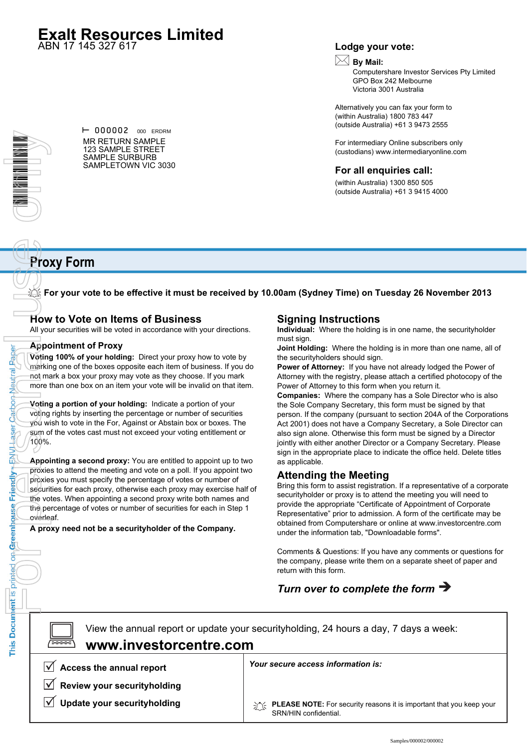# **Exalt Resources Limited**

ABN 17 145 327 617

#### **Lodge your vote:**

# **By Mail:**

Computershare Investor Services Pty Limited GPO Box 242 Melbourne Victoria 3001 Australia

Alternatively you can fax your form to (within Australia) 1800 783 447 (outside Australia) +61 3 9473 2555

For intermediary Online subscribers only (custodians) www.intermediaryonline.com

#### **For all enquiries call:**

(within Australia) 1300 850 505 (outside Australia) +61 3 9415 4000

# The price Friendly Exploration Apple of the Reflection of the Reflection of the Reflection of the Properties on the Properties on the Properties of the Properties of the Properties of the Properties of the Properties of th

Paper

Neutral

Carbon

**Laser** 

**HANH** 

Friendly

This Document is printed on Greenhouse

 $\vdash$  000002 000 ERDRM MR RETURN SAMPLE 123 SAMPLE STREET SAMPLE SURBURB SAMPLETOWN VIC 3030

# **Proxy Form**

**For your vote to be effective it must be received by 10.00am (Sydney Time) on Tuesday 26 November 2013**

#### **How to Vote on Items of Business**

All your securities will be voted in accordance with your directions.

#### **Appointment of Proxy**

**Voting 100% of your holding:** Direct your proxy how to vote by marking one of the boxes opposite each item of business. If you do not mark a box your proxy may vote as they choose. If you mark more than one box on an item your vote will be invalid on that item.

**Voting a portion of your holding:** Indicate a portion of your voting rights by inserting the percentage or number of securities you wish to vote in the For, Against or Abstain box or boxes. The sum of the votes cast must not exceed your voting entitlement or 100%.

**Appointing a second proxy:** You are entitled to appoint up to two proxies to attend the meeting and vote on a poll. If you appoint two proxies you must specify the percentage of votes or number of securities for each proxy, otherwise each proxy may exercise half of the votes. When appointing a second proxy write both names and the percentage of votes or number of securities for each in Step 1 overleaf.

**A proxy need not be a securityholder of the Company.**

#### **Signing Instructions**

**Individual:** Where the holding is in one name, the securityholder must sign.

**Joint Holding:** Where the holding is in more than one name, all of the securityholders should sign.

**Power of Attorney:** If you have not already lodged the Power of Attorney with the registry, please attach a certified photocopy of the Power of Attorney to this form when you return it.

**Companies:** Where the company has a Sole Director who is also the Sole Company Secretary, this form must be signed by that person. If the company (pursuant to section 204A of the Corporations Act 2001) does not have a Company Secretary, a Sole Director can also sign alone. Otherwise this form must be signed by a Director jointly with either another Director or a Company Secretary. Please sign in the appropriate place to indicate the office held. Delete titles as applicable.

#### **Attending the Meeting**

Bring this form to assist registration. If a representative of a corporate securityholder or proxy is to attend the meeting you will need to provide the appropriate "Certificate of Appointment of Corporate Representative" prior to admission. A form of the certificate may be obtained from Computershare or online at www.investorcentre.com under the information tab, "Downloadable forms".

Comments & Questions: If you have any comments or questions for the company, please write them on a separate sheet of paper and return with this form.

# *Turn over to complete the form*

View the annual report or update your securityholding, 24 hours a day, 7 days a week:  $\boxed{\square}$ **www.investorcentre.com**

**Access the annual report**

**Review your securityholding**

**Update your securityholding**

#### *Your secure access information is:*

**PLEASE NOTE:** For security reasons it is important that you keep your SRN/HIN confidential.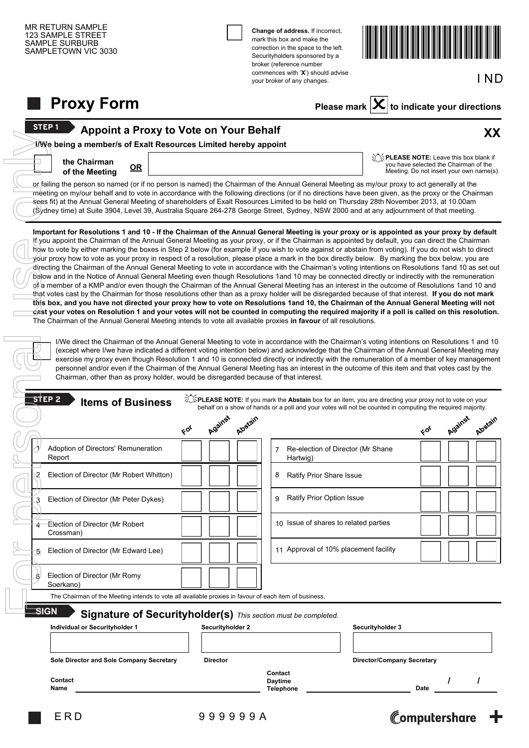| SAMPLETOWN VIC 3030                                                                                                                                                                                                                                                                                                                                                                                                                                                                                                                                                                                                                                                                                                                                                                                                                                                                                                                                                                                                                                                                                                                                                     |                  | Change of address. If incorrect,<br>mark this box and make the<br>correction in the space to the left.<br>Securityholders sponsored by a<br>broker (reference number<br>commences with 'X') should advise<br>your broker of any changes.             |                                                        |                                                                                   | IND      |
|-------------------------------------------------------------------------------------------------------------------------------------------------------------------------------------------------------------------------------------------------------------------------------------------------------------------------------------------------------------------------------------------------------------------------------------------------------------------------------------------------------------------------------------------------------------------------------------------------------------------------------------------------------------------------------------------------------------------------------------------------------------------------------------------------------------------------------------------------------------------------------------------------------------------------------------------------------------------------------------------------------------------------------------------------------------------------------------------------------------------------------------------------------------------------|------------------|------------------------------------------------------------------------------------------------------------------------------------------------------------------------------------------------------------------------------------------------------|--------------------------------------------------------|-----------------------------------------------------------------------------------|----------|
| <b>Proxy Form</b>                                                                                                                                                                                                                                                                                                                                                                                                                                                                                                                                                                                                                                                                                                                                                                                                                                                                                                                                                                                                                                                                                                                                                       |                  |                                                                                                                                                                                                                                                      | Please mark $ \mathbf{X} $ to indicate your directions |                                                                                   |          |
| <b>STEP1</b><br>Appoint a Proxy to Vote on Your Behalf                                                                                                                                                                                                                                                                                                                                                                                                                                                                                                                                                                                                                                                                                                                                                                                                                                                                                                                                                                                                                                                                                                                  |                  |                                                                                                                                                                                                                                                      |                                                        |                                                                                   | XX       |
| I/We being a member/s of Exalt Resources Limited hereby appoint<br>the Chairman<br>$OR$<br>of the Meeting                                                                                                                                                                                                                                                                                                                                                                                                                                                                                                                                                                                                                                                                                                                                                                                                                                                                                                                                                                                                                                                               |                  |                                                                                                                                                                                                                                                      | <b>THEASE NOTE:</b> Leave this box blank if            | you have selected the Chairman of the<br>Meeting. Do not insert your own name(s). |          |
| or failing the person so named (or if no person is named) the Chairman of the Annual General Meeting as my/our proxy to act generally at the<br>meeting on my/our behalf and to vote in accordance with the following directions (or if no directions have been given, as the proxy or the Chairman<br>sees fit) at the Annual General Meeting of shareholders of Exalt Resources Limited to be held on Thursday 28th November 2013, at 10.00am<br>(Sydney time) at Suite 3904, Level 39, Australia Square 264-278 George Street, Sydney, NSW 2000 and at any adjournment of that meeting.                                                                                                                                                                                                                                                                                                                                                                                                                                                                                                                                                                              |                  |                                                                                                                                                                                                                                                      |                                                        |                                                                                   |          |
| directing the Chairman of the Annual General Meeting to vote in accordance with the Chairman's voting intentions on Resolutions 1and 10 as set out<br>below and in the Notice of Annual General Meeting even though Resolutions 1and 10 may be connected directly or indirectly with the remuneration<br>of a member of a KMP and/or even though the Chairman of the Annual General Meeting has an interest in the outcome of Resolutions 1and 10 and<br>that votes cast by the Chairman for those resolutions other than as a proxy holder will be disregarded because of that interest. If you do not mark<br>this box, and you have not directed your proxy how to vote on Resolutions 1and 10, the Chairman of the Annual General Meeting will not<br>cast your votes on Resolution 1 and your votes will not be counted in computing the required majority if a poll is called on this resolution.<br>The Chairman of the Annual General Meeting intends to vote all available proxies in favour of all resolutions.<br>I/We direct the Chairman of the Annual General Meeting to vote in accordance with the Chairman's voting intentions on Resolutions 1 and 10 |                  |                                                                                                                                                                                                                                                      |                                                        |                                                                                   |          |
| exercise my proxy even though Resolution 1 and 10 is connected directly or indirectly with the remuneration of a member of key management<br>personnel and/or even if the Chairman of the Annual General Meeting has an interest in the outcome of this item and that votes cast by the<br>Chairman, other than as proxy holder, would be disregarded because of that interest.<br>_STEP 2                                                                                                                                                                                                                                                                                                                                                                                                                                                                                                                                                                                                                                                                                                                                                                              |                  | (except where I/we have indicated a different voting intention below) and acknowledge that the Chairman of the Annual General Meeting may<br>SPLEASE NOTE: If you mark the Abstain box for an item, you are directing your proxy not to vote on your |                                                        |                                                                                   |          |
| <b>Items of Business</b>                                                                                                                                                                                                                                                                                                                                                                                                                                                                                                                                                                                                                                                                                                                                                                                                                                                                                                                                                                                                                                                                                                                                                |                  | behalf on a show of hands or a poll and your votes will not be counted in computing the required majority.                                                                                                                                           |                                                        |                                                                                   |          |
| Adoption of Directors' Remuneration<br>Report                                                                                                                                                                                                                                                                                                                                                                                                                                                                                                                                                                                                                                                                                                                                                                                                                                                                                                                                                                                                                                                                                                                           | Against<br>66    | Abstain<br>Re-election of Director (Mr Shane<br>$7^{\circ}$<br>Hartwig)                                                                                                                                                                              |                                                        | Against<br>66                                                                     |          |
| Election of Director (Mr Robert Whitton)                                                                                                                                                                                                                                                                                                                                                                                                                                                                                                                                                                                                                                                                                                                                                                                                                                                                                                                                                                                                                                                                                                                                |                  | Ratify Prior Share Issue<br>8                                                                                                                                                                                                                        |                                                        |                                                                                   |          |
| Election of Director (Mr Peter Dykes)<br>3                                                                                                                                                                                                                                                                                                                                                                                                                                                                                                                                                                                                                                                                                                                                                                                                                                                                                                                                                                                                                                                                                                                              |                  | Ratify Prior Option Issue<br>9                                                                                                                                                                                                                       |                                                        |                                                                                   |          |
| Election of Director (Mr Robert<br>Crossman)                                                                                                                                                                                                                                                                                                                                                                                                                                                                                                                                                                                                                                                                                                                                                                                                                                                                                                                                                                                                                                                                                                                            |                  | 10 Issue of shares to related parties                                                                                                                                                                                                                |                                                        |                                                                                   |          |
| Election of Director (Mr Edward Lee)                                                                                                                                                                                                                                                                                                                                                                                                                                                                                                                                                                                                                                                                                                                                                                                                                                                                                                                                                                                                                                                                                                                                    |                  | 11 Approval of 10% placement facility                                                                                                                                                                                                                |                                                        |                                                                                   |          |
| Election of Director (Mr Romy<br>6<br>Soerkano)                                                                                                                                                                                                                                                                                                                                                                                                                                                                                                                                                                                                                                                                                                                                                                                                                                                                                                                                                                                                                                                                                                                         |                  |                                                                                                                                                                                                                                                      |                                                        |                                                                                   |          |
| The Chairman of the Meeting intends to vote all available proxies in favour of each item of business.<br><b>SIGN</b><br>Signature of Securityholder(s) This section must be completed.<br>Individual or Securityholder 1                                                                                                                                                                                                                                                                                                                                                                                                                                                                                                                                                                                                                                                                                                                                                                                                                                                                                                                                                | Securityholder 2 |                                                                                                                                                                                                                                                      | Securityholder 3                                       |                                                                                   |          |
| Sole Director and Sole Company Secretary                                                                                                                                                                                                                                                                                                                                                                                                                                                                                                                                                                                                                                                                                                                                                                                                                                                                                                                                                                                                                                                                                                                                | <b>Director</b>  |                                                                                                                                                                                                                                                      | <b>Director/Company Secretary</b>                      |                                                                                   | Algérain |